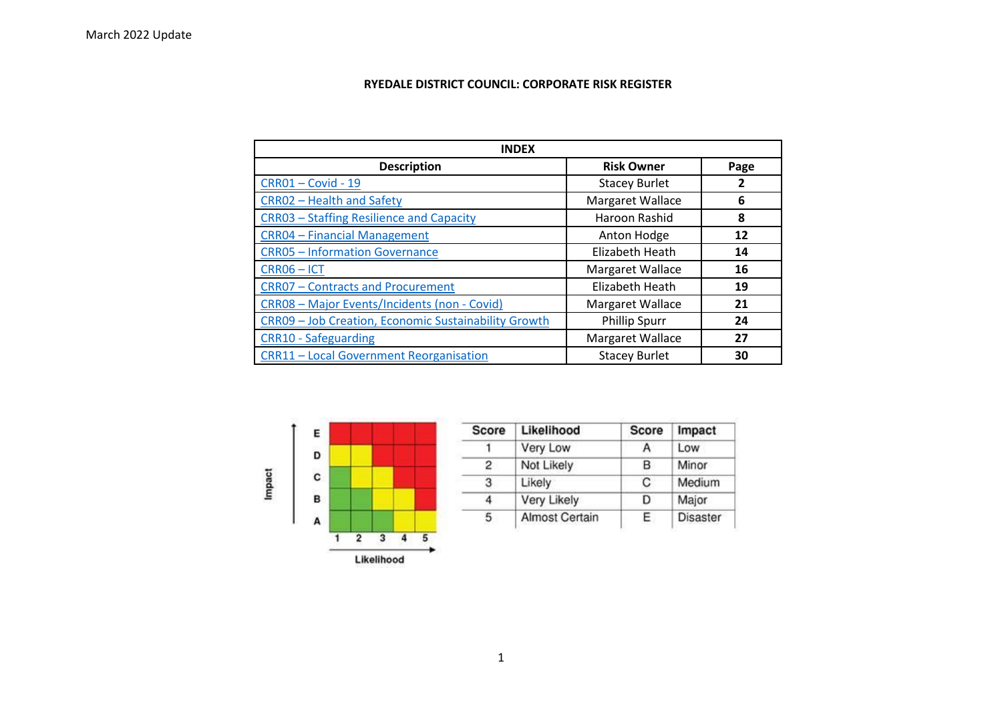## **RYEDALE DISTRICT COUNCIL: CORPORATE RISK REGISTER**

| <b>INDEX</b>                                         |                      |      |  |  |
|------------------------------------------------------|----------------------|------|--|--|
| <b>Description</b>                                   | <b>Risk Owner</b>    | Page |  |  |
| <b>CRR01-Covid-19</b>                                | <b>Stacey Burlet</b> | 2    |  |  |
| <b>CRRO2 - Health and Safety</b>                     | Margaret Wallace     | 6    |  |  |
| <b>CRR03 - Staffing Resilience and Capacity</b>      | Haroon Rashid        | 8    |  |  |
| <b>CRR04 - Financial Management</b>                  | Anton Hodge          | 12   |  |  |
| <b>CRR05 - Information Governance</b>                | Elizabeth Heath      | 14   |  |  |
| CRR06-ICT                                            | Margaret Wallace     | 16   |  |  |
| <b>CRR07 - Contracts and Procurement</b>             | Elizabeth Heath      | 19   |  |  |
| CRR08 - Major Events/Incidents (non - Covid)         | Margaret Wallace     | 21   |  |  |
| CRR09 - Job Creation, Economic Sustainability Growth | <b>Phillip Spurr</b> | 24   |  |  |
| <b>CRR10 - Safeguarding</b>                          | Margaret Wallace     | 27   |  |  |
| <b>CRR11-Local Government Reorganisation</b>         | <b>Stacey Burlet</b> | 30   |  |  |



| <b>Score</b> | Likelihood            | <b>Score</b> | Impact   |
|--------------|-----------------------|--------------|----------|
|              | Very Low              | А            | Low      |
| 2            | Not Likely            | в            | Minor    |
| 3            | Likely                | C            | Medium   |
| 4            | Very Likely           | D            | Major    |
| 5            | <b>Almost Certain</b> | E.           | Disaster |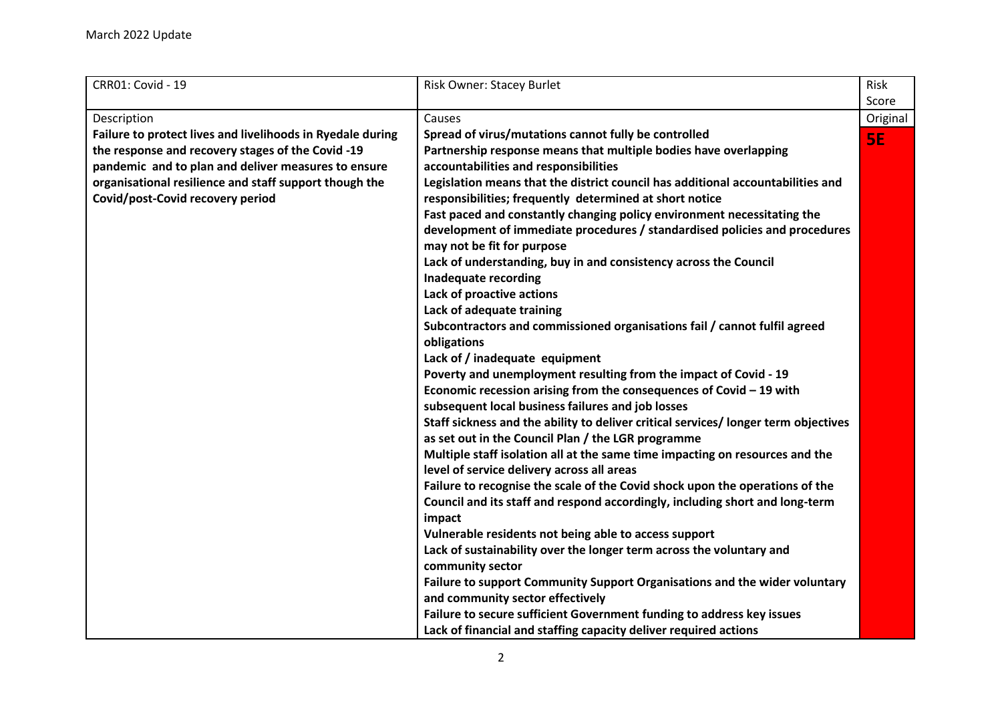<span id="page-1-0"></span>

| CRR01: Covid - 19                                          | <b>Risk Owner: Stacey Burlet</b>                                                         | Risk      |
|------------------------------------------------------------|------------------------------------------------------------------------------------------|-----------|
|                                                            |                                                                                          | Score     |
| Description                                                | Causes                                                                                   | Original  |
| Failure to protect lives and livelihoods in Ryedale during | Spread of virus/mutations cannot fully be controlled                                     | <b>SE</b> |
| the response and recovery stages of the Covid -19          | Partnership response means that multiple bodies have overlapping                         |           |
| pandemic and to plan and deliver measures to ensure        | accountabilities and responsibilities                                                    |           |
| organisational resilience and staff support though the     | Legislation means that the district council has additional accountabilities and          |           |
| Covid/post-Covid recovery period                           | responsibilities; frequently determined at short notice                                  |           |
|                                                            | Fast paced and constantly changing policy environment necessitating the                  |           |
|                                                            | development of immediate procedures / standardised policies and procedures               |           |
|                                                            | may not be fit for purpose                                                               |           |
|                                                            | Lack of understanding, buy in and consistency across the Council                         |           |
|                                                            | <b>Inadequate recording</b>                                                              |           |
|                                                            | Lack of proactive actions                                                                |           |
|                                                            | Lack of adequate training                                                                |           |
|                                                            | Subcontractors and commissioned organisations fail / cannot fulfil agreed                |           |
|                                                            | obligations                                                                              |           |
|                                                            | Lack of / inadequate equipment                                                           |           |
|                                                            | Poverty and unemployment resulting from the impact of Covid - 19                         |           |
|                                                            | Economic recession arising from the consequences of Covid $-19$ with                     |           |
|                                                            | subsequent local business failures and job losses                                        |           |
|                                                            | Staff sickness and the ability to deliver critical services/ longer term objectives      |           |
|                                                            | as set out in the Council Plan / the LGR programme                                       |           |
|                                                            | Multiple staff isolation all at the same time impacting on resources and the             |           |
|                                                            | level of service delivery across all areas                                               |           |
|                                                            | Failure to recognise the scale of the Covid shock upon the operations of the             |           |
|                                                            | Council and its staff and respond accordingly, including short and long-term             |           |
|                                                            | impact                                                                                   |           |
|                                                            | Vulnerable residents not being able to access support                                    |           |
|                                                            | Lack of sustainability over the longer term across the voluntary and<br>community sector |           |
|                                                            | Failure to support Community Support Organisations and the wider voluntary               |           |
|                                                            | and community sector effectively                                                         |           |
|                                                            | Failure to secure sufficient Government funding to address key issues                    |           |
|                                                            | Lack of financial and staffing capacity deliver required actions                         |           |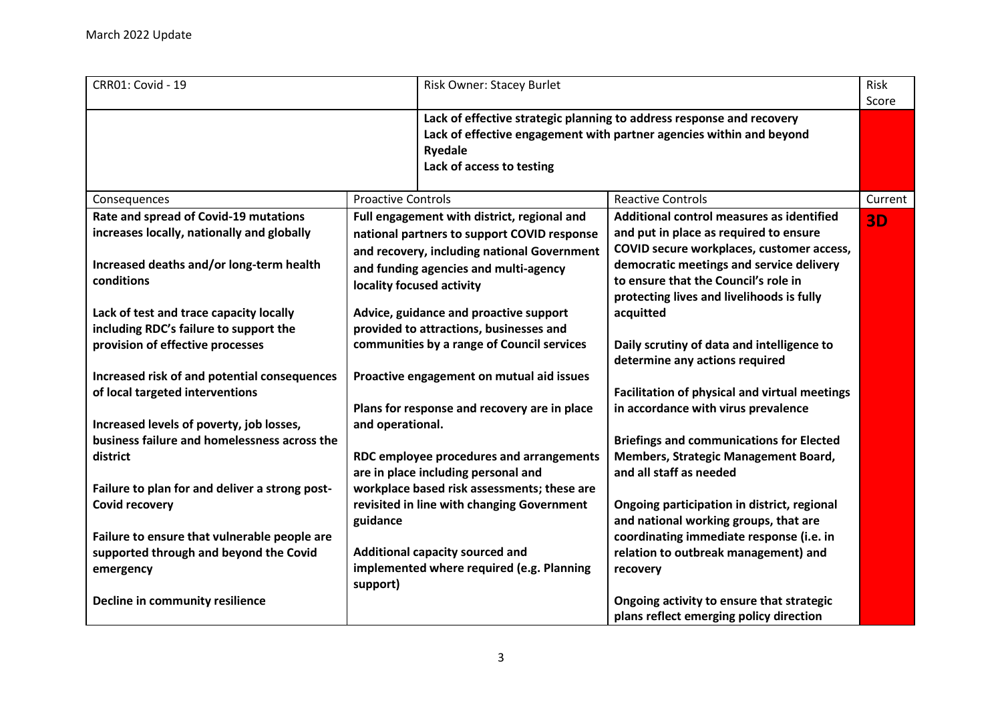| <b>CRR01: Covid - 19</b>                                                                                                        |                                                                                                              | <b>Risk Owner: Stacey Burlet</b>                                                                                                          |                                                                                                                                                                              | Risk<br>Score |
|---------------------------------------------------------------------------------------------------------------------------------|--------------------------------------------------------------------------------------------------------------|-------------------------------------------------------------------------------------------------------------------------------------------|------------------------------------------------------------------------------------------------------------------------------------------------------------------------------|---------------|
|                                                                                                                                 |                                                                                                              | <b>Ryedale</b><br>Lack of access to testing                                                                                               | Lack of effective strategic planning to address response and recovery<br>Lack of effective engagement with partner agencies within and beyond                                |               |
| Consequences                                                                                                                    | <b>Proactive Controls</b>                                                                                    |                                                                                                                                           | <b>Reactive Controls</b>                                                                                                                                                     | Current       |
| Rate and spread of Covid-19 mutations<br>increases locally, nationally and globally<br>Increased deaths and/or long-term health |                                                                                                              | Full engagement with district, regional and<br>national partners to support COVID response<br>and recovery, including national Government | Additional control measures as identified<br>and put in place as required to ensure<br>COVID secure workplaces, customer access,<br>democratic meetings and service delivery | <b>3D</b>     |
| conditions<br>Lack of test and trace capacity locally                                                                           | and funding agencies and multi-agency<br>locality focused activity<br>Advice, guidance and proactive support |                                                                                                                                           | to ensure that the Council's role in<br>protecting lives and livelihoods is fully<br>acquitted                                                                               |               |
| including RDC's failure to support the                                                                                          |                                                                                                              | provided to attractions, businesses and                                                                                                   |                                                                                                                                                                              |               |
| provision of effective processes                                                                                                | communities by a range of Council services                                                                   |                                                                                                                                           | Daily scrutiny of data and intelligence to<br>determine any actions required                                                                                                 |               |
| Increased risk of and potential consequences<br>of local targeted interventions                                                 |                                                                                                              | Proactive engagement on mutual aid issues                                                                                                 | <b>Facilitation of physical and virtual meetings</b>                                                                                                                         |               |
| Increased levels of poverty, job losses,                                                                                        | and operational.                                                                                             | Plans for response and recovery are in place                                                                                              | in accordance with virus prevalence                                                                                                                                          |               |
| business failure and homelessness across the<br>district                                                                        |                                                                                                              | RDC employee procedures and arrangements<br>are in place including personal and                                                           | <b>Briefings and communications for Elected</b><br>Members, Strategic Management Board,<br>and all staff as needed                                                           |               |
| Failure to plan for and deliver a strong post-<br><b>Covid recovery</b>                                                         | guidance                                                                                                     | workplace based risk assessments; these are<br>revisited in line with changing Government                                                 | Ongoing participation in district, regional<br>and national working groups, that are                                                                                         |               |
| Failure to ensure that vulnerable people are                                                                                    |                                                                                                              |                                                                                                                                           | coordinating immediate response (i.e. in                                                                                                                                     |               |
| supported through and beyond the Covid<br>emergency                                                                             | support)                                                                                                     | Additional capacity sourced and<br>implemented where required (e.g. Planning                                                              | relation to outbreak management) and<br>recovery                                                                                                                             |               |
| Decline in community resilience                                                                                                 |                                                                                                              |                                                                                                                                           | Ongoing activity to ensure that strategic<br>plans reflect emerging policy direction                                                                                         |               |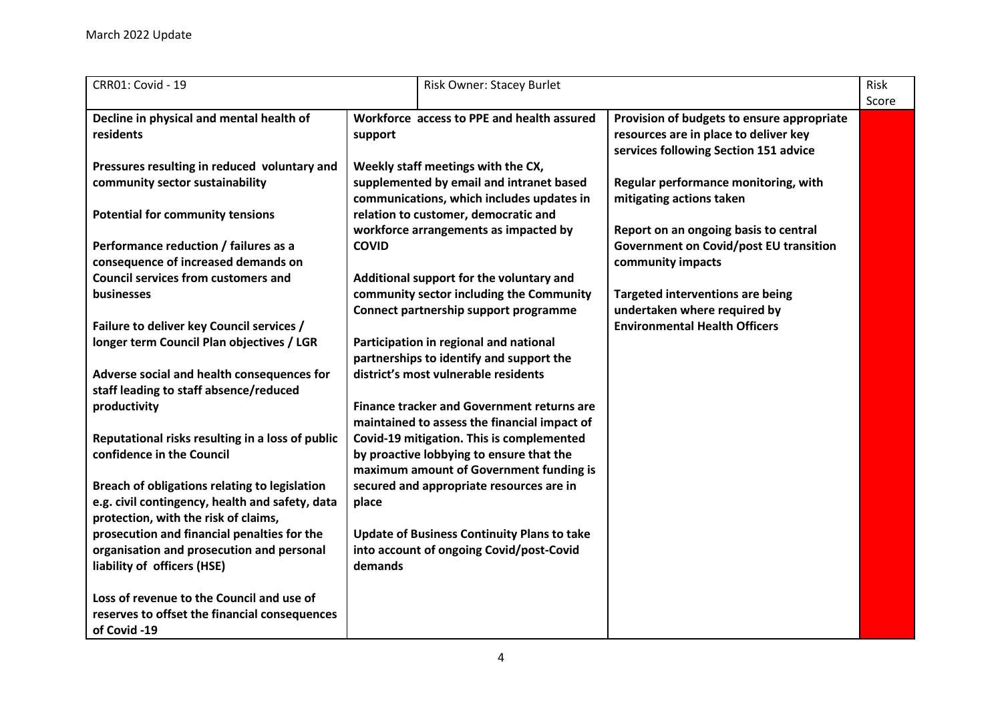| <b>CRR01: Covid - 19</b>                                                                                                                 |              | Risk Owner: Stacey Burlet                                                                                                             |                                                                                                           | Risk  |
|------------------------------------------------------------------------------------------------------------------------------------------|--------------|---------------------------------------------------------------------------------------------------------------------------------------|-----------------------------------------------------------------------------------------------------------|-------|
| Decline in physical and mental health of<br>residents                                                                                    | support      | Workforce access to PPE and health assured                                                                                            | Provision of budgets to ensure appropriate<br>resources are in place to deliver key                       | Score |
| Pressures resulting in reduced voluntary and<br>community sector sustainability                                                          |              | Weekly staff meetings with the CX,<br>supplemented by email and intranet based<br>communications, which includes updates in           | services following Section 151 advice<br>Regular performance monitoring, with<br>mitigating actions taken |       |
| <b>Potential for community tensions</b>                                                                                                  |              | relation to customer, democratic and<br>workforce arrangements as impacted by                                                         | Report on an ongoing basis to central                                                                     |       |
| Performance reduction / failures as a<br>consequence of increased demands on                                                             | <b>COVID</b> |                                                                                                                                       | <b>Government on Covid/post EU transition</b><br>community impacts                                        |       |
| <b>Council services from customers and</b><br>businesses                                                                                 |              | Additional support for the voluntary and<br>community sector including the Community<br>Connect partnership support programme         | <b>Targeted interventions are being</b><br>undertaken where required by                                   |       |
| Failure to deliver key Council services /<br>longer term Council Plan objectives / LGR                                                   |              | Participation in regional and national<br>partnerships to identify and support the                                                    | <b>Environmental Health Officers</b>                                                                      |       |
| Adverse social and health consequences for<br>staff leading to staff absence/reduced<br>productivity                                     |              | district's most vulnerable residents<br><b>Finance tracker and Government returns are</b>                                             |                                                                                                           |       |
| Reputational risks resulting in a loss of public<br>confidence in the Council                                                            |              | maintained to assess the financial impact of<br>Covid-19 mitigation. This is complemented<br>by proactive lobbying to ensure that the |                                                                                                           |       |
| Breach of obligations relating to legislation<br>e.g. civil contingency, health and safety, data<br>protection, with the risk of claims, | place        | maximum amount of Government funding is<br>secured and appropriate resources are in                                                   |                                                                                                           |       |
| prosecution and financial penalties for the<br>organisation and prosecution and personal<br>liability of officers (HSE)                  | demands      | <b>Update of Business Continuity Plans to take</b><br>into account of ongoing Covid/post-Covid                                        |                                                                                                           |       |
| Loss of revenue to the Council and use of<br>reserves to offset the financial consequences<br>of Covid -19                               |              |                                                                                                                                       |                                                                                                           |       |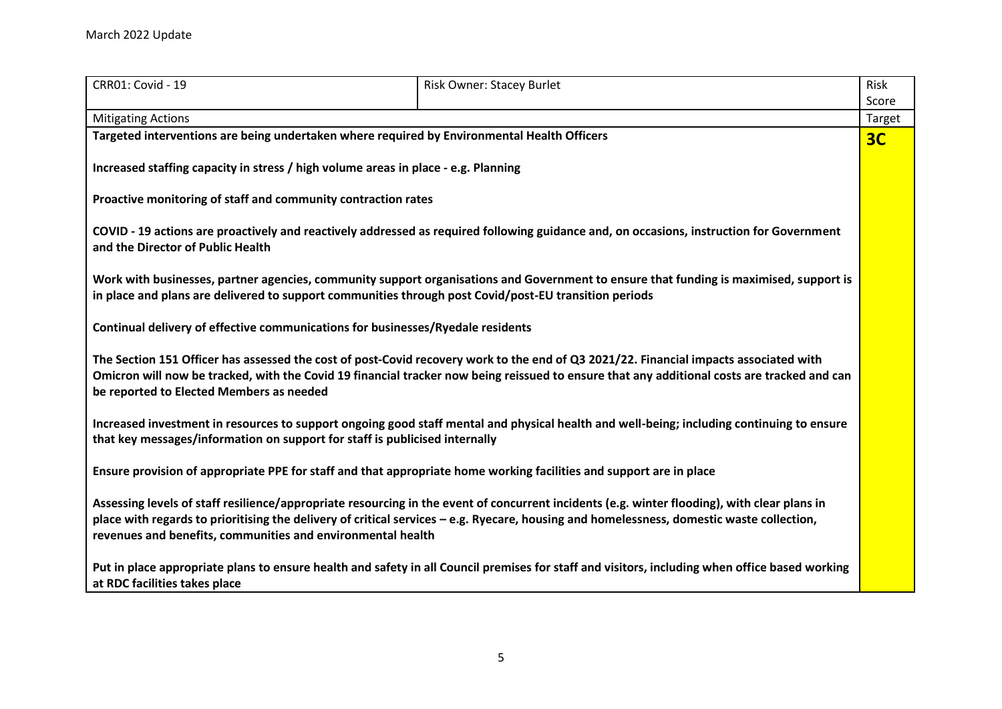| <b>CRR01: Covid - 19</b>                                                           | <b>Risk Owner: Stacey Burlet</b>                                                                                                                                                                                                                                                          | Risk   |
|------------------------------------------------------------------------------------|-------------------------------------------------------------------------------------------------------------------------------------------------------------------------------------------------------------------------------------------------------------------------------------------|--------|
|                                                                                    |                                                                                                                                                                                                                                                                                           | Score  |
| <b>Mitigating Actions</b>                                                          |                                                                                                                                                                                                                                                                                           | Target |
|                                                                                    | Targeted interventions are being undertaken where required by Environmental Health Officers                                                                                                                                                                                               | 3C     |
| Increased staffing capacity in stress / high volume areas in place - e.g. Planning |                                                                                                                                                                                                                                                                                           |        |
| Proactive monitoring of staff and community contraction rates                      |                                                                                                                                                                                                                                                                                           |        |
| and the Director of Public Health                                                  | COVID - 19 actions are proactively and reactively addressed as required following guidance and, on occasions, instruction for Government                                                                                                                                                  |        |
|                                                                                    | Work with businesses, partner agencies, community support organisations and Government to ensure that funding is maximised, support is<br>in place and plans are delivered to support communities through post Covid/post-EU transition periods                                           |        |
| Continual delivery of effective communications for businesses/Ryedale residents    |                                                                                                                                                                                                                                                                                           |        |
| be reported to Elected Members as needed                                           | The Section 151 Officer has assessed the cost of post-Covid recovery work to the end of Q3 2021/22. Financial impacts associated with<br>Omicron will now be tracked, with the Covid 19 financial tracker now being reissued to ensure that any additional costs are tracked and can      |        |
| that key messages/information on support for staff is publicised internally        | Increased investment in resources to support ongoing good staff mental and physical health and well-being; including continuing to ensure                                                                                                                                                 |        |
|                                                                                    | Ensure provision of appropriate PPE for staff and that appropriate home working facilities and support are in place                                                                                                                                                                       |        |
| revenues and benefits, communities and environmental health                        | Assessing levels of staff resilience/appropriate resourcing in the event of concurrent incidents (e.g. winter flooding), with clear plans in<br>place with regards to prioritising the delivery of critical services - e.g. Ryecare, housing and homelessness, domestic waste collection, |        |
| at RDC facilities takes place                                                      | Put in place appropriate plans to ensure health and safety in all Council premises for staff and visitors, including when office based working                                                                                                                                            |        |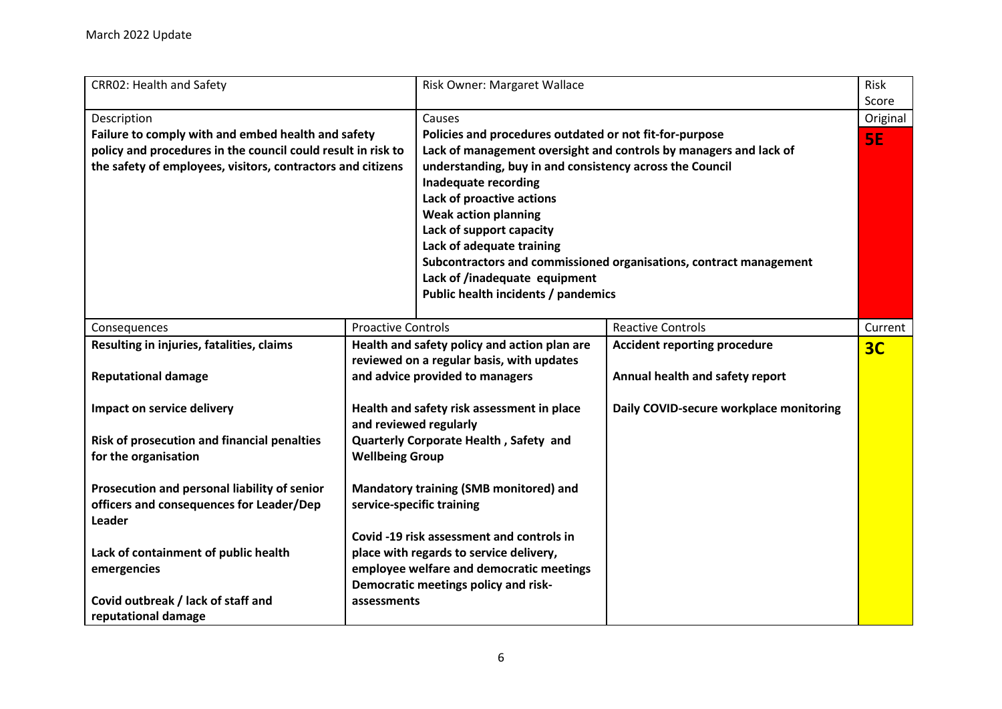<span id="page-5-0"></span>

| CRR02: Health and Safety                                                                                                                                                          |                                                                                                                              | Risk Owner: Margaret Wallace                                                                                                                                                                                                                                                                                                                    |                                                                                                                                         | Risk<br>Score  |
|-----------------------------------------------------------------------------------------------------------------------------------------------------------------------------------|------------------------------------------------------------------------------------------------------------------------------|-------------------------------------------------------------------------------------------------------------------------------------------------------------------------------------------------------------------------------------------------------------------------------------------------------------------------------------------------|-----------------------------------------------------------------------------------------------------------------------------------------|----------------|
| Description                                                                                                                                                                       |                                                                                                                              | Causes                                                                                                                                                                                                                                                                                                                                          |                                                                                                                                         | Original       |
| Failure to comply with and embed health and safety<br>policy and procedures in the council could result in risk to<br>the safety of employees, visitors, contractors and citizens |                                                                                                                              | Policies and procedures outdated or not fit-for-purpose<br>understanding, buy in and consistency across the Council<br><b>Inadequate recording</b><br>Lack of proactive actions<br><b>Weak action planning</b><br>Lack of support capacity<br>Lack of adequate training<br>Lack of /inadequate equipment<br>Public health incidents / pandemics | Lack of management oversight and controls by managers and lack of<br>Subcontractors and commissioned organisations, contract management | 5E             |
| Consequences                                                                                                                                                                      | <b>Proactive Controls</b>                                                                                                    |                                                                                                                                                                                                                                                                                                                                                 | <b>Reactive Controls</b>                                                                                                                | Current        |
| Resulting in injuries, fatalities, claims<br><b>Reputational damage</b>                                                                                                           | Health and safety policy and action plan are<br>reviewed on a regular basis, with updates<br>and advice provided to managers |                                                                                                                                                                                                                                                                                                                                                 | <b>Accident reporting procedure</b><br>Annual health and safety report                                                                  | 3 <sub>C</sub> |
| Impact on service delivery                                                                                                                                                        | and reviewed regularly                                                                                                       | Health and safety risk assessment in place                                                                                                                                                                                                                                                                                                      | Daily COVID-secure workplace monitoring                                                                                                 |                |
| Risk of prosecution and financial penalties<br>for the organisation                                                                                                               | Quarterly Corporate Health, Safety and<br><b>Wellbeing Group</b>                                                             |                                                                                                                                                                                                                                                                                                                                                 |                                                                                                                                         |                |
| Prosecution and personal liability of senior<br>officers and consequences for Leader/Dep<br><b>Leader</b>                                                                         | Mandatory training (SMB monitored) and<br>service-specific training                                                          |                                                                                                                                                                                                                                                                                                                                                 |                                                                                                                                         |                |
| Lack of containment of public health                                                                                                                                              | Covid -19 risk assessment and controls in<br>place with regards to service delivery,                                         |                                                                                                                                                                                                                                                                                                                                                 |                                                                                                                                         |                |
| emergencies                                                                                                                                                                       | employee welfare and democratic meetings<br>Democratic meetings policy and risk-                                             |                                                                                                                                                                                                                                                                                                                                                 |                                                                                                                                         |                |
| Covid outbreak / lack of staff and<br>reputational damage                                                                                                                         | assessments                                                                                                                  |                                                                                                                                                                                                                                                                                                                                                 |                                                                                                                                         |                |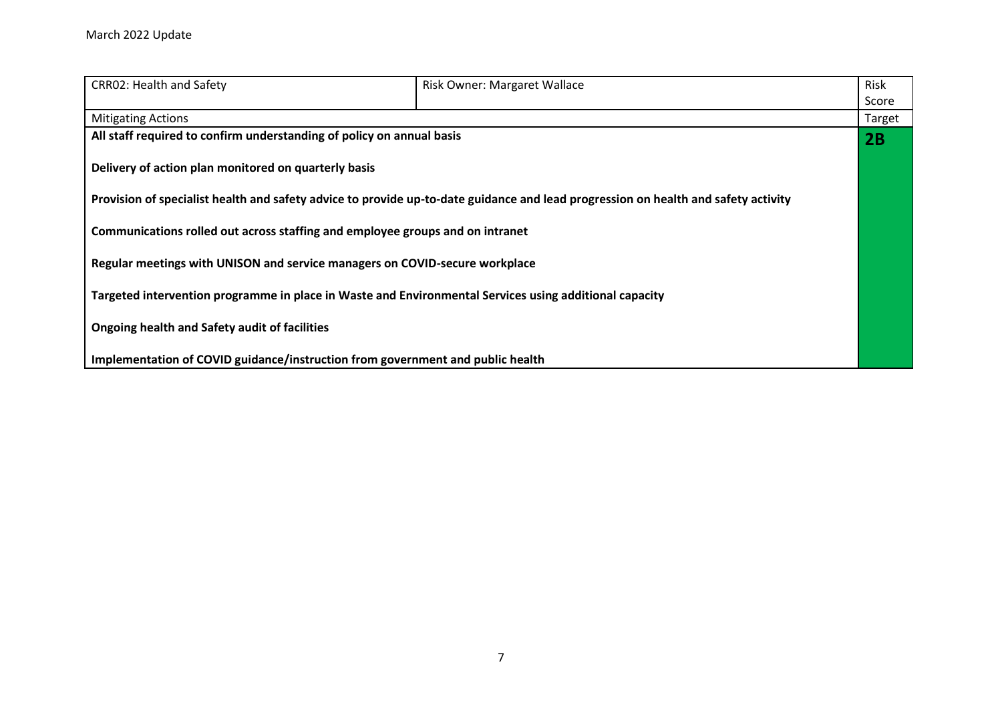| <b>CRR02: Health and Safety</b>                                                                        | Risk Owner: Margaret Wallace                                                                                                       | Risk   |
|--------------------------------------------------------------------------------------------------------|------------------------------------------------------------------------------------------------------------------------------------|--------|
|                                                                                                        |                                                                                                                                    | Score  |
| <b>Mitigating Actions</b>                                                                              |                                                                                                                                    | Target |
| All staff required to confirm understanding of policy on annual basis                                  |                                                                                                                                    | 2B     |
| Delivery of action plan monitored on quarterly basis                                                   |                                                                                                                                    |        |
|                                                                                                        | Provision of specialist health and safety advice to provide up-to-date guidance and lead progression on health and safety activity |        |
| Communications rolled out across staffing and employee groups and on intranet                          |                                                                                                                                    |        |
| Regular meetings with UNISON and service managers on COVID-secure workplace                            |                                                                                                                                    |        |
| Targeted intervention programme in place in Waste and Environmental Services using additional capacity |                                                                                                                                    |        |
| Ongoing health and Safety audit of facilities                                                          |                                                                                                                                    |        |
| Implementation of COVID guidance/instruction from government and public health                         |                                                                                                                                    |        |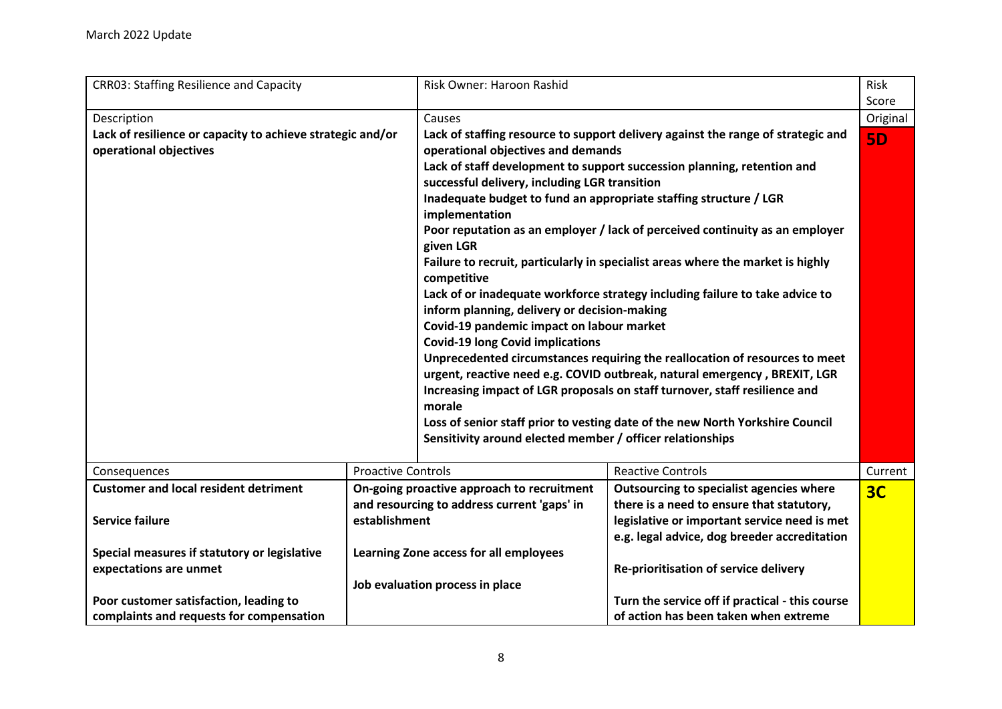<span id="page-7-0"></span>

| <b>CRR03: Staffing Resilience and Capacity</b>                                       |                           | Risk Owner: Haroon Rashid                                                           |                                                                                                                                                         | Risk           |
|--------------------------------------------------------------------------------------|---------------------------|-------------------------------------------------------------------------------------|---------------------------------------------------------------------------------------------------------------------------------------------------------|----------------|
|                                                                                      |                           |                                                                                     |                                                                                                                                                         | Score          |
| Description                                                                          |                           | Causes                                                                              |                                                                                                                                                         | Original       |
| Lack of resilience or capacity to achieve strategic and/or<br>operational objectives |                           | operational objectives and demands                                                  | Lack of staffing resource to support delivery against the range of strategic and                                                                        | <b>5D</b>      |
|                                                                                      |                           |                                                                                     | Lack of staff development to support succession planning, retention and                                                                                 |                |
|                                                                                      |                           | successful delivery, including LGR transition                                       |                                                                                                                                                         |                |
|                                                                                      |                           | Inadequate budget to fund an appropriate staffing structure / LGR<br>implementation |                                                                                                                                                         |                |
|                                                                                      |                           |                                                                                     | Poor reputation as an employer / lack of perceived continuity as an employer                                                                            |                |
|                                                                                      |                           | given LGR                                                                           |                                                                                                                                                         |                |
|                                                                                      |                           | competitive                                                                         | Failure to recruit, particularly in specialist areas where the market is highly                                                                         |                |
|                                                                                      |                           |                                                                                     | Lack of or inadequate workforce strategy including failure to take advice to                                                                            |                |
|                                                                                      |                           | inform planning, delivery or decision-making                                        |                                                                                                                                                         |                |
|                                                                                      |                           | Covid-19 pandemic impact on labour market                                           |                                                                                                                                                         |                |
|                                                                                      |                           | <b>Covid-19 long Covid implications</b>                                             |                                                                                                                                                         |                |
|                                                                                      |                           |                                                                                     | Unprecedented circumstances requiring the reallocation of resources to meet                                                                             |                |
|                                                                                      |                           |                                                                                     | urgent, reactive need e.g. COVID outbreak, natural emergency, BREXIT, LGR<br>Increasing impact of LGR proposals on staff turnover, staff resilience and |                |
|                                                                                      |                           | morale                                                                              |                                                                                                                                                         |                |
|                                                                                      |                           |                                                                                     | Loss of senior staff prior to vesting date of the new North Yorkshire Council                                                                           |                |
|                                                                                      |                           | Sensitivity around elected member / officer relationships                           |                                                                                                                                                         |                |
|                                                                                      |                           |                                                                                     |                                                                                                                                                         |                |
| Consequences                                                                         | <b>Proactive Controls</b> |                                                                                     | <b>Reactive Controls</b>                                                                                                                                | Current        |
| <b>Customer and local resident detriment</b>                                         |                           | On-going proactive approach to recruitment                                          | Outsourcing to specialist agencies where                                                                                                                | 3 <sub>C</sub> |
|                                                                                      |                           | and resourcing to address current 'gaps' in                                         | there is a need to ensure that statutory,                                                                                                               |                |
| <b>Service failure</b>                                                               | establishment             |                                                                                     | legislative or important service need is met                                                                                                            |                |
|                                                                                      |                           |                                                                                     | e.g. legal advice, dog breeder accreditation                                                                                                            |                |
| Special measures if statutory or legislative                                         |                           | Learning Zone access for all employees                                              |                                                                                                                                                         |                |
| expectations are unmet                                                               |                           |                                                                                     | Re-prioritisation of service delivery                                                                                                                   |                |
|                                                                                      |                           | Job evaluation process in place                                                     |                                                                                                                                                         |                |
| Poor customer satisfaction, leading to                                               |                           |                                                                                     | Turn the service off if practical - this course                                                                                                         |                |
| complaints and requests for compensation                                             |                           |                                                                                     | of action has been taken when extreme                                                                                                                   |                |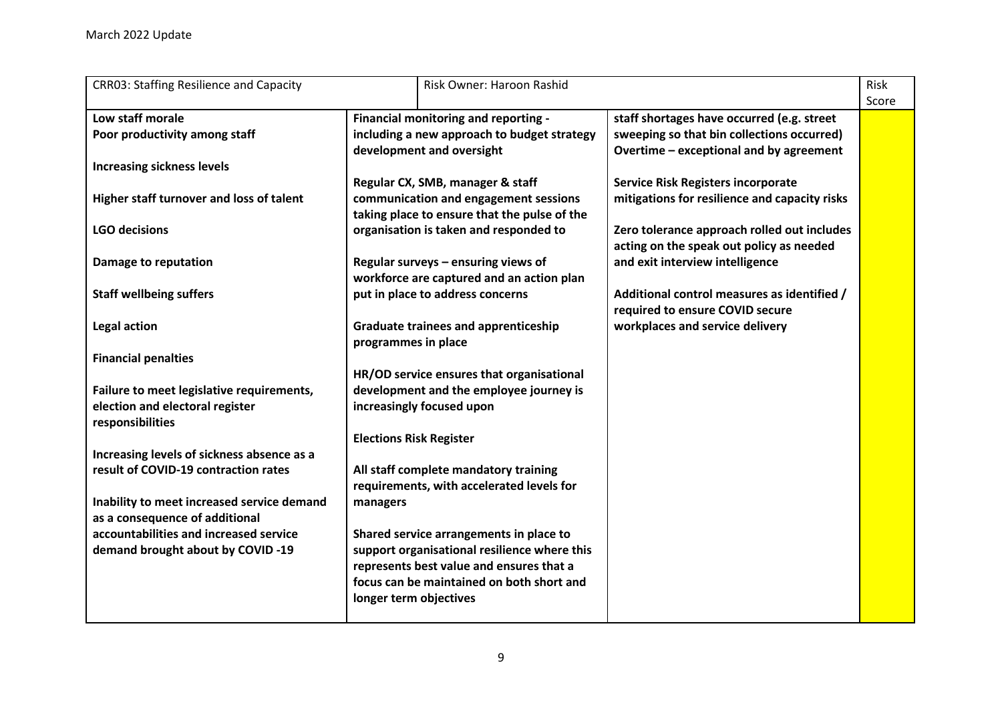| <b>CRR03: Staffing Resilience and Capacity</b> |                                | Risk Owner: Haroon Rashid                    |                                               | Risk  |
|------------------------------------------------|--------------------------------|----------------------------------------------|-----------------------------------------------|-------|
|                                                |                                |                                              |                                               | Score |
| Low staff morale                               |                                | Financial monitoring and reporting -         | staff shortages have occurred (e.g. street    |       |
| Poor productivity among staff                  |                                | including a new approach to budget strategy  | sweeping so that bin collections occurred)    |       |
|                                                |                                | development and oversight                    | Overtime - exceptional and by agreement       |       |
| <b>Increasing sickness levels</b>              |                                |                                              |                                               |       |
|                                                |                                | Regular CX, SMB, manager & staff             | <b>Service Risk Registers incorporate</b>     |       |
| Higher staff turnover and loss of talent       |                                | communication and engagement sessions        | mitigations for resilience and capacity risks |       |
|                                                |                                | taking place to ensure that the pulse of the |                                               |       |
| <b>LGO decisions</b>                           |                                | organisation is taken and responded to       | Zero tolerance approach rolled out includes   |       |
|                                                |                                |                                              | acting on the speak out policy as needed      |       |
| Damage to reputation                           |                                | Regular surveys - ensuring views of          | and exit interview intelligence               |       |
|                                                |                                | workforce are captured and an action plan    |                                               |       |
| <b>Staff wellbeing suffers</b>                 |                                | put in place to address concerns             | Additional control measures as identified /   |       |
|                                                |                                |                                              | required to ensure COVID secure               |       |
| Legal action                                   |                                | <b>Graduate trainees and apprenticeship</b>  | workplaces and service delivery               |       |
|                                                | programmes in place            |                                              |                                               |       |
| <b>Financial penalties</b>                     |                                |                                              |                                               |       |
|                                                |                                | HR/OD service ensures that organisational    |                                               |       |
| Failure to meet legislative requirements,      |                                | development and the employee journey is      |                                               |       |
| election and electoral register                |                                | increasingly focused upon                    |                                               |       |
| responsibilities                               |                                |                                              |                                               |       |
|                                                | <b>Elections Risk Register</b> |                                              |                                               |       |
| Increasing levels of sickness absence as a     |                                |                                              |                                               |       |
| result of COVID-19 contraction rates           |                                | All staff complete mandatory training        |                                               |       |
|                                                |                                | requirements, with accelerated levels for    |                                               |       |
|                                                |                                |                                              |                                               |       |
| Inability to meet increased service demand     | managers                       |                                              |                                               |       |
| as a consequence of additional                 |                                |                                              |                                               |       |
| accountabilities and increased service         |                                | Shared service arrangements in place to      |                                               |       |
| demand brought about by COVID -19              |                                | support organisational resilience where this |                                               |       |
|                                                |                                | represents best value and ensures that a     |                                               |       |
|                                                |                                | focus can be maintained on both short and    |                                               |       |
|                                                | longer term objectives         |                                              |                                               |       |
|                                                |                                |                                              |                                               |       |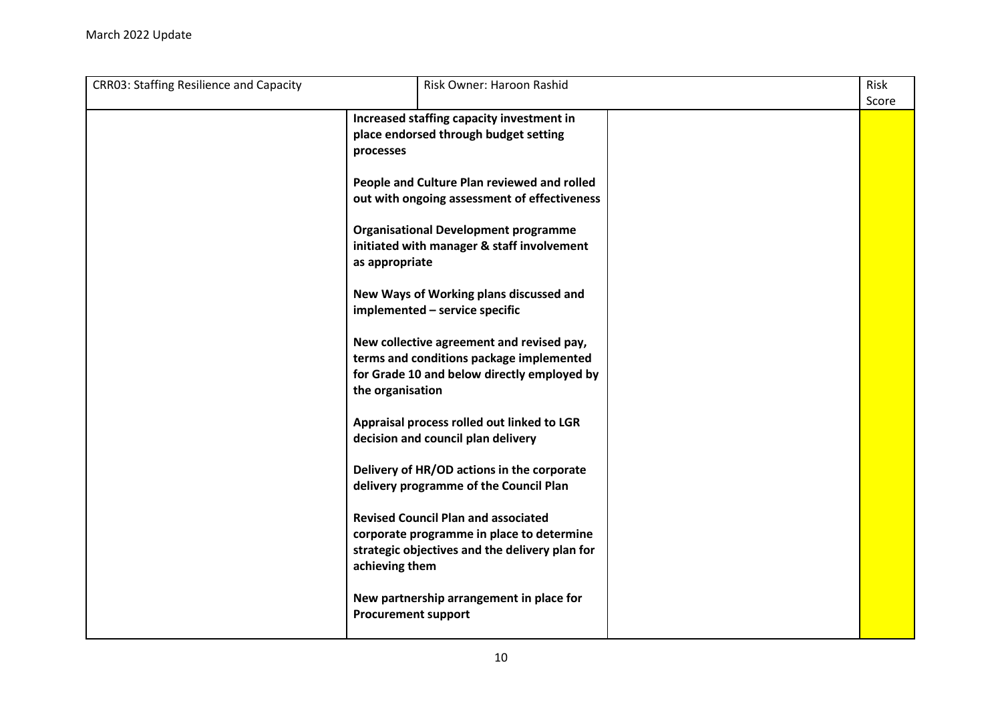| <b>CRR03: Staffing Resilience and Capacity</b> | Risk Owner: Haroon Rashid                      | <b>Risk</b> |
|------------------------------------------------|------------------------------------------------|-------------|
|                                                |                                                | Score       |
|                                                | Increased staffing capacity investment in      |             |
|                                                | place endorsed through budget setting          |             |
|                                                | processes                                      |             |
|                                                |                                                |             |
|                                                | People and Culture Plan reviewed and rolled    |             |
|                                                | out with ongoing assessment of effectiveness   |             |
|                                                |                                                |             |
|                                                | <b>Organisational Development programme</b>    |             |
|                                                | initiated with manager & staff involvement     |             |
|                                                | as appropriate                                 |             |
|                                                |                                                |             |
|                                                |                                                |             |
|                                                | New Ways of Working plans discussed and        |             |
|                                                | implemented - service specific                 |             |
|                                                |                                                |             |
|                                                | New collective agreement and revised pay,      |             |
|                                                | terms and conditions package implemented       |             |
|                                                | for Grade 10 and below directly employed by    |             |
|                                                | the organisation                               |             |
|                                                |                                                |             |
|                                                | Appraisal process rolled out linked to LGR     |             |
|                                                | decision and council plan delivery             |             |
|                                                |                                                |             |
|                                                | Delivery of HR/OD actions in the corporate     |             |
|                                                | delivery programme of the Council Plan         |             |
|                                                |                                                |             |
|                                                | <b>Revised Council Plan and associated</b>     |             |
|                                                | corporate programme in place to determine      |             |
|                                                | strategic objectives and the delivery plan for |             |
|                                                | achieving them                                 |             |
|                                                |                                                |             |
|                                                | New partnership arrangement in place for       |             |
|                                                | <b>Procurement support</b>                     |             |
|                                                |                                                |             |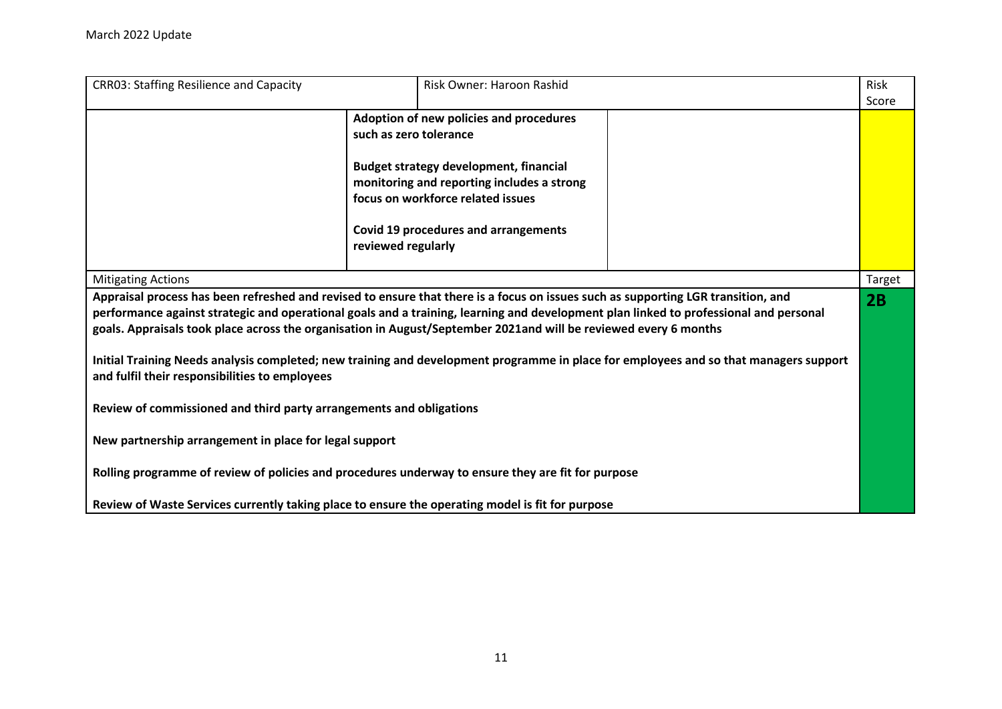| <b>CRR03: Staffing Resilience and Capacity</b>                                                                                                                                                                                                                                                                                                                                                                                                                                                                                                                                                                                                                                                                                                                                                                                   |                                              | Risk Owner: Haroon Rashid                                                                                                                                                                                                  | <b>Risk</b> |
|----------------------------------------------------------------------------------------------------------------------------------------------------------------------------------------------------------------------------------------------------------------------------------------------------------------------------------------------------------------------------------------------------------------------------------------------------------------------------------------------------------------------------------------------------------------------------------------------------------------------------------------------------------------------------------------------------------------------------------------------------------------------------------------------------------------------------------|----------------------------------------------|----------------------------------------------------------------------------------------------------------------------------------------------------------------------------------------------------------------------------|-------------|
|                                                                                                                                                                                                                                                                                                                                                                                                                                                                                                                                                                                                                                                                                                                                                                                                                                  |                                              |                                                                                                                                                                                                                            | Score       |
|                                                                                                                                                                                                                                                                                                                                                                                                                                                                                                                                                                                                                                                                                                                                                                                                                                  | such as zero tolerance<br>reviewed regularly | Adoption of new policies and procedures<br><b>Budget strategy development, financial</b><br>monitoring and reporting includes a strong<br>focus on workforce related issues<br><b>Covid 19 procedures and arrangements</b> |             |
| <b>Mitigating Actions</b>                                                                                                                                                                                                                                                                                                                                                                                                                                                                                                                                                                                                                                                                                                                                                                                                        |                                              |                                                                                                                                                                                                                            | Target      |
| Appraisal process has been refreshed and revised to ensure that there is a focus on issues such as supporting LGR transition, and<br>performance against strategic and operational goals and a training, learning and development plan linked to professional and personal<br>goals. Appraisals took place across the organisation in August/September 2021and will be reviewed every 6 months<br>Initial Training Needs analysis completed; new training and development programme in place for employees and so that managers support<br>and fulfil their responsibilities to employees<br>Review of commissioned and third party arrangements and obligations<br>New partnership arrangement in place for legal support<br>Rolling programme of review of policies and procedures underway to ensure they are fit for purpose |                                              |                                                                                                                                                                                                                            | 2B          |
| Review of Waste Services currently taking place to ensure the operating model is fit for purpose                                                                                                                                                                                                                                                                                                                                                                                                                                                                                                                                                                                                                                                                                                                                 |                                              |                                                                                                                                                                                                                            |             |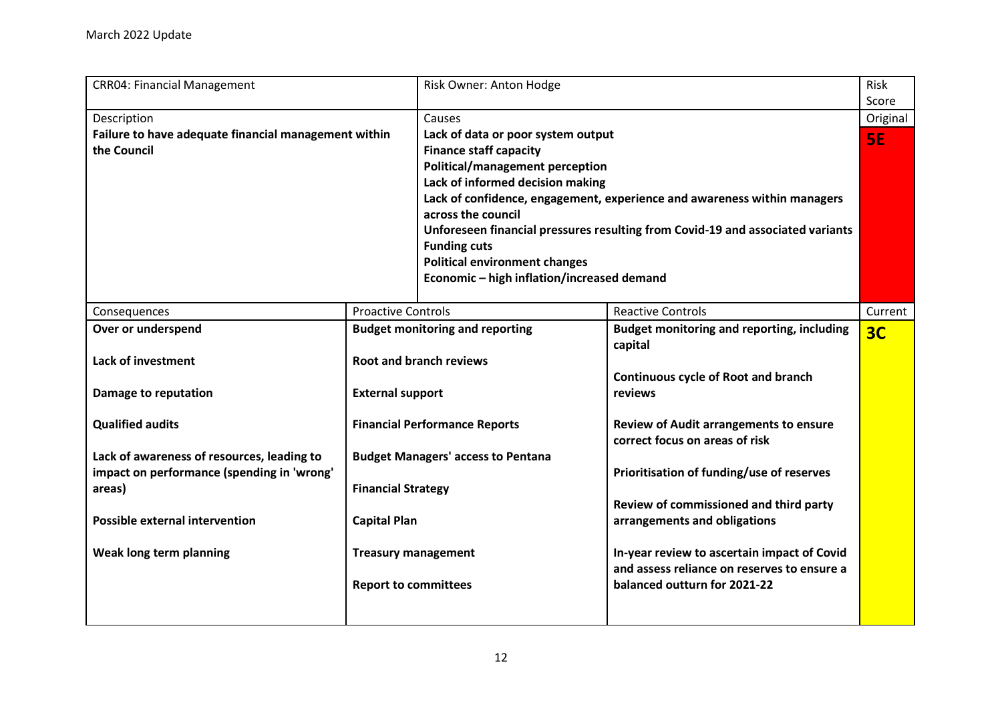<span id="page-11-0"></span>

| <b>CRR04: Financial Management</b>                   |                             | Risk Owner: Anton Hodge                    |                                                                                | Risk           |
|------------------------------------------------------|-----------------------------|--------------------------------------------|--------------------------------------------------------------------------------|----------------|
|                                                      |                             |                                            |                                                                                | Score          |
| Description                                          |                             | Causes                                     |                                                                                | Original       |
| Failure to have adequate financial management within |                             | Lack of data or poor system output         |                                                                                | <b>SE</b>      |
| the Council                                          |                             | <b>Finance staff capacity</b>              |                                                                                |                |
|                                                      |                             | Political/management perception            |                                                                                |                |
|                                                      |                             | Lack of informed decision making           |                                                                                |                |
|                                                      |                             |                                            | Lack of confidence, engagement, experience and awareness within managers       |                |
|                                                      |                             | across the council                         |                                                                                |                |
|                                                      |                             |                                            | Unforeseen financial pressures resulting from Covid-19 and associated variants |                |
|                                                      |                             | <b>Funding cuts</b>                        |                                                                                |                |
|                                                      |                             | <b>Political environment changes</b>       |                                                                                |                |
|                                                      |                             | Economic - high inflation/increased demand |                                                                                |                |
|                                                      |                             |                                            |                                                                                |                |
| Consequences                                         | <b>Proactive Controls</b>   |                                            | <b>Reactive Controls</b>                                                       | Current        |
| Over or underspend                                   |                             | <b>Budget monitoring and reporting</b>     | Budget monitoring and reporting, including                                     | 3 <sub>C</sub> |
|                                                      |                             |                                            | capital                                                                        |                |
| <b>Lack of investment</b>                            |                             | <b>Root and branch reviews</b>             |                                                                                |                |
|                                                      |                             |                                            | <b>Continuous cycle of Root and branch</b>                                     |                |
| Damage to reputation                                 | <b>External support</b>     |                                            | reviews                                                                        |                |
|                                                      |                             |                                            |                                                                                |                |
| <b>Qualified audits</b>                              |                             | <b>Financial Performance Reports</b>       | <b>Review of Audit arrangements to ensure</b>                                  |                |
|                                                      |                             |                                            | correct focus on areas of risk                                                 |                |
| Lack of awareness of resources, leading to           |                             | <b>Budget Managers' access to Pentana</b>  |                                                                                |                |
| impact on performance (spending in 'wrong'           |                             |                                            | Prioritisation of funding/use of reserves                                      |                |
| areas)                                               | <b>Financial Strategy</b>   |                                            |                                                                                |                |
|                                                      |                             |                                            | Review of commissioned and third party                                         |                |
| <b>Possible external intervention</b>                | <b>Capital Plan</b>         |                                            | arrangements and obligations                                                   |                |
|                                                      |                             |                                            |                                                                                |                |
| Weak long term planning                              | <b>Treasury management</b>  |                                            | In-year review to ascertain impact of Covid                                    |                |
|                                                      |                             |                                            | and assess reliance on reserves to ensure a                                    |                |
|                                                      | <b>Report to committees</b> |                                            | balanced outturn for 2021-22                                                   |                |
|                                                      |                             |                                            |                                                                                |                |
|                                                      |                             |                                            |                                                                                |                |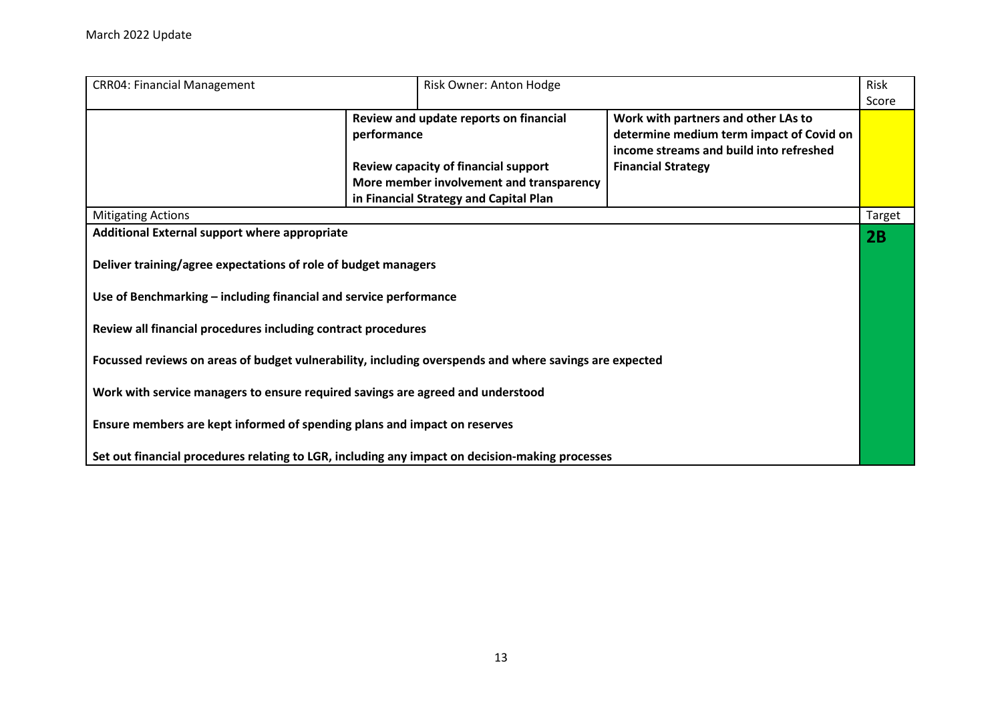| <b>CRR04: Financial Management</b>                                                                                                                                                                                                                                                                                                                                                                                                                                                                                              | Risk Owner: Anton Hodge                  |                                          |        |
|---------------------------------------------------------------------------------------------------------------------------------------------------------------------------------------------------------------------------------------------------------------------------------------------------------------------------------------------------------------------------------------------------------------------------------------------------------------------------------------------------------------------------------|------------------------------------------|------------------------------------------|--------|
|                                                                                                                                                                                                                                                                                                                                                                                                                                                                                                                                 |                                          |                                          | Score  |
|                                                                                                                                                                                                                                                                                                                                                                                                                                                                                                                                 | Review and update reports on financial   | Work with partners and other LAs to      |        |
|                                                                                                                                                                                                                                                                                                                                                                                                                                                                                                                                 | performance                              | determine medium term impact of Covid on |        |
|                                                                                                                                                                                                                                                                                                                                                                                                                                                                                                                                 |                                          | income streams and build into refreshed  |        |
|                                                                                                                                                                                                                                                                                                                                                                                                                                                                                                                                 | Review capacity of financial support     | <b>Financial Strategy</b>                |        |
|                                                                                                                                                                                                                                                                                                                                                                                                                                                                                                                                 | More member involvement and transparency |                                          |        |
|                                                                                                                                                                                                                                                                                                                                                                                                                                                                                                                                 | in Financial Strategy and Capital Plan   |                                          |        |
| <b>Mitigating Actions</b>                                                                                                                                                                                                                                                                                                                                                                                                                                                                                                       |                                          |                                          | Target |
| Additional External support where appropriate<br>Deliver training/agree expectations of role of budget managers<br>Use of Benchmarking - including financial and service performance<br>Review all financial procedures including contract procedures<br>Focussed reviews on areas of budget vulnerability, including overspends and where savings are expected<br>Work with service managers to ensure required savings are agreed and understood<br>Ensure members are kept informed of spending plans and impact on reserves |                                          |                                          | 2B     |
| Set out financial procedures relating to LGR, including any impact on decision-making processes                                                                                                                                                                                                                                                                                                                                                                                                                                 |                                          |                                          |        |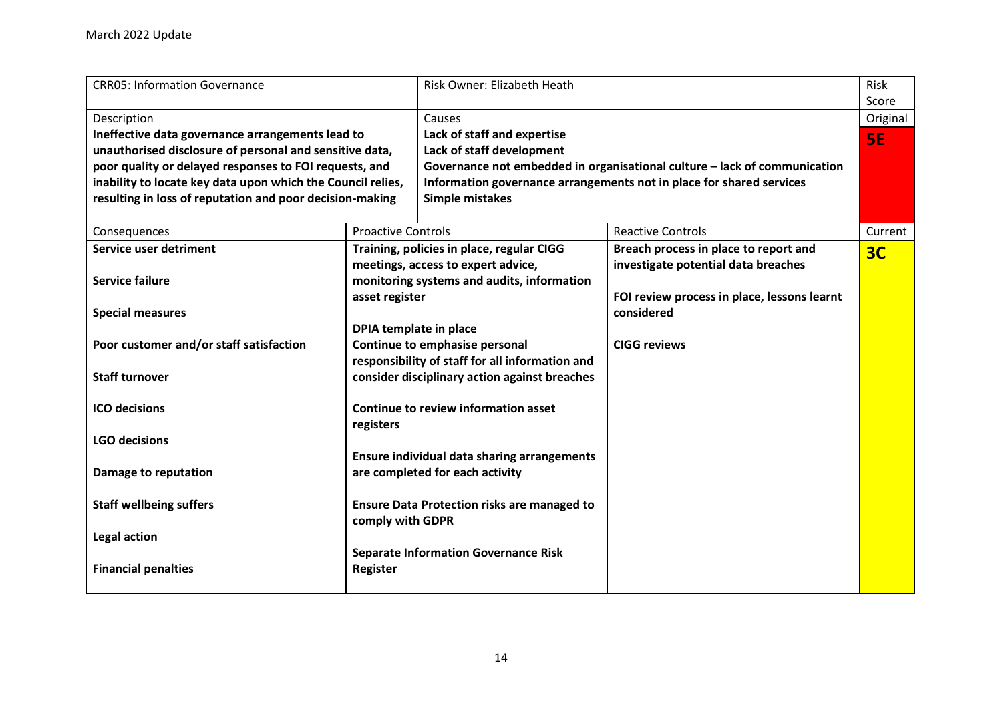<span id="page-13-0"></span>

| <b>CRR05: Information Governance</b>                                                                                                                                                                                                                                                                            |                                                                                                                                                              | Risk Owner: Elizabeth Heath                                                                                                   |                                                                                                                                                   | Risk                           |
|-----------------------------------------------------------------------------------------------------------------------------------------------------------------------------------------------------------------------------------------------------------------------------------------------------------------|--------------------------------------------------------------------------------------------------------------------------------------------------------------|-------------------------------------------------------------------------------------------------------------------------------|---------------------------------------------------------------------------------------------------------------------------------------------------|--------------------------------|
| Description<br>Ineffective data governance arrangements lead to<br>unauthorised disclosure of personal and sensitive data,<br>poor quality or delayed responses to FOI requests, and<br>inability to locate key data upon which the Council relies,<br>resulting in loss of reputation and poor decision-making |                                                                                                                                                              | Causes<br>Lack of staff and expertise<br>Lack of staff development<br>Simple mistakes                                         | Governance not embedded in organisational culture - lack of communication<br>Information governance arrangements not in place for shared services | Score<br>Original<br><b>SE</b> |
| Consequences                                                                                                                                                                                                                                                                                                    | <b>Proactive Controls</b>                                                                                                                                    |                                                                                                                               | <b>Reactive Controls</b>                                                                                                                          | Current                        |
| Service user detriment<br><b>Service failure</b><br><b>Special measures</b>                                                                                                                                                                                                                                     | asset register                                                                                                                                               | Training, policies in place, regular CIGG<br>meetings, access to expert advice,<br>monitoring systems and audits, information | Breach process in place to report and<br>investigate potential data breaches<br>FOI review process in place, lessons learnt<br>considered         | 3 <sub>C</sub>                 |
| Poor customer and/or staff satisfaction<br><b>Staff turnover</b>                                                                                                                                                                                                                                                | DPIA template in place<br>Continue to emphasise personal<br>responsibility of staff for all information and<br>consider disciplinary action against breaches |                                                                                                                               | <b>CIGG reviews</b>                                                                                                                               |                                |
| <b>ICO</b> decisions<br><b>LGO decisions</b>                                                                                                                                                                                                                                                                    | Continue to review information asset<br>registers                                                                                                            |                                                                                                                               |                                                                                                                                                   |                                |
| Damage to reputation                                                                                                                                                                                                                                                                                            | <b>Ensure individual data sharing arrangements</b><br>are completed for each activity                                                                        |                                                                                                                               |                                                                                                                                                   |                                |
| <b>Staff wellbeing suffers</b>                                                                                                                                                                                                                                                                                  | <b>Ensure Data Protection risks are managed to</b><br>comply with GDPR                                                                                       |                                                                                                                               |                                                                                                                                                   |                                |
| <b>Legal action</b><br><b>Financial penalties</b>                                                                                                                                                                                                                                                               | <b>Register</b>                                                                                                                                              | <b>Separate Information Governance Risk</b>                                                                                   |                                                                                                                                                   |                                |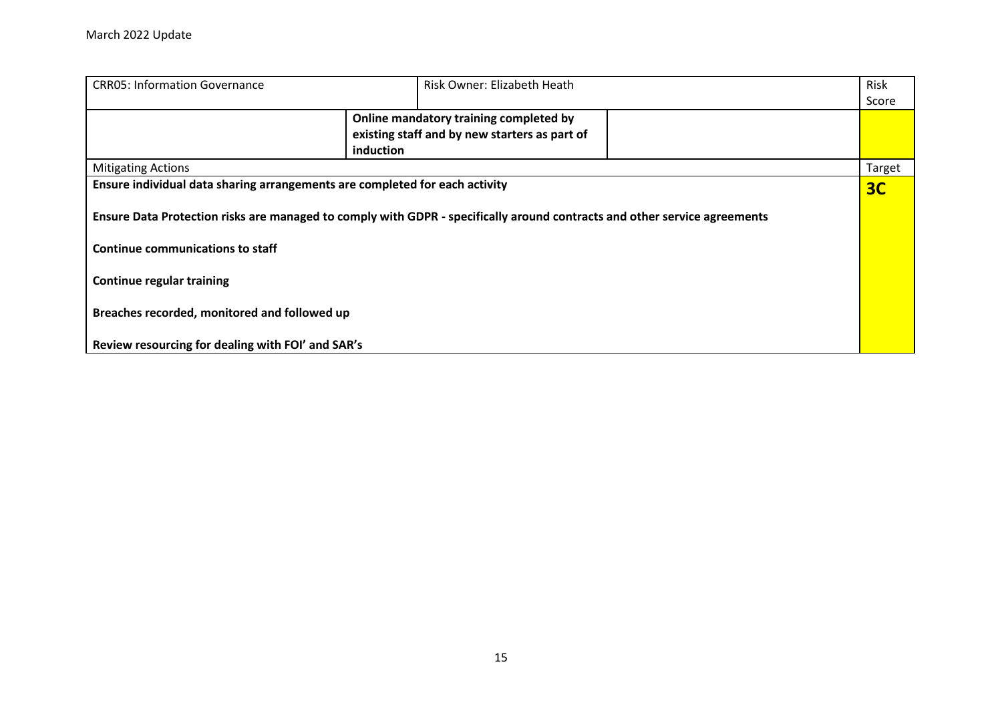| <b>CRR05: Information Governance</b>                                        |           | Risk Owner: Elizabeth Heath                                                                                               | <b>Risk</b> |
|-----------------------------------------------------------------------------|-----------|---------------------------------------------------------------------------------------------------------------------------|-------------|
|                                                                             |           |                                                                                                                           | Score       |
|                                                                             |           | Online mandatory training completed by                                                                                    |             |
|                                                                             |           | existing staff and by new starters as part of                                                                             |             |
|                                                                             | induction |                                                                                                                           |             |
| <b>Mitigating Actions</b>                                                   |           |                                                                                                                           | Target      |
| Ensure individual data sharing arrangements are completed for each activity |           |                                                                                                                           | 3C          |
|                                                                             |           |                                                                                                                           |             |
|                                                                             |           | Ensure Data Protection risks are managed to comply with GDPR - specifically around contracts and other service agreements |             |
|                                                                             |           |                                                                                                                           |             |
| Continue communications to staff                                            |           |                                                                                                                           |             |
|                                                                             |           |                                                                                                                           |             |
| <b>Continue regular training</b>                                            |           |                                                                                                                           |             |
|                                                                             |           |                                                                                                                           |             |
| Breaches recorded, monitored and followed up                                |           |                                                                                                                           |             |
|                                                                             |           |                                                                                                                           |             |
| Review resourcing for dealing with FOI' and SAR's                           |           |                                                                                                                           |             |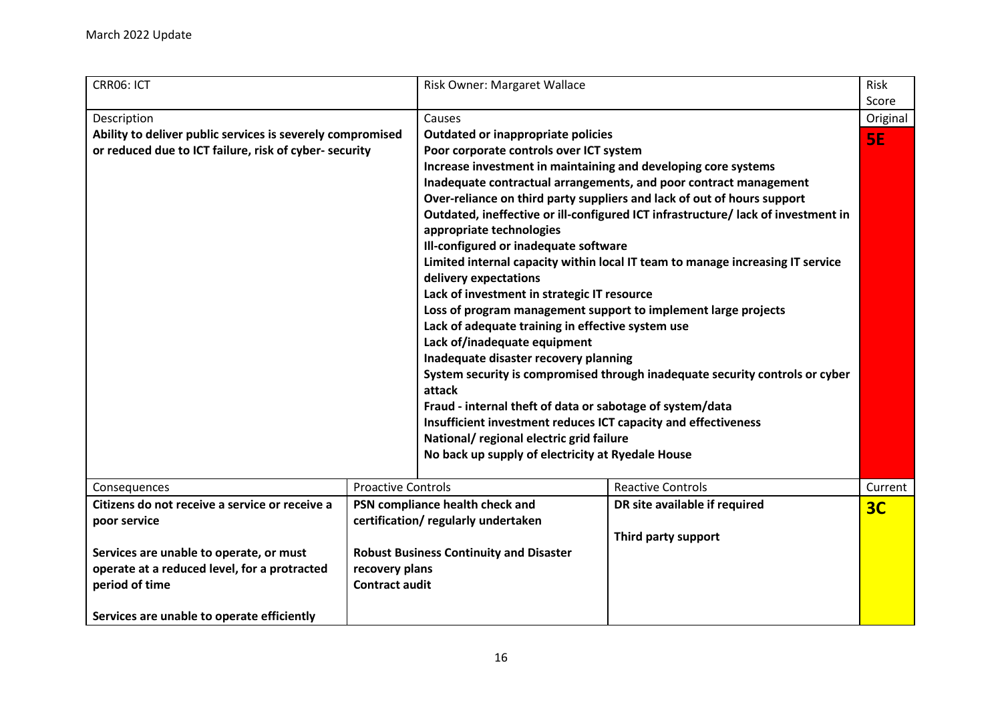<span id="page-15-0"></span>

| CRR06: ICT                                                 |                           | Risk Owner: Margaret Wallace                                   |                                                                                   | Risk           |
|------------------------------------------------------------|---------------------------|----------------------------------------------------------------|-----------------------------------------------------------------------------------|----------------|
|                                                            |                           |                                                                |                                                                                   | Score          |
| Description                                                |                           | Causes                                                         |                                                                                   | Original       |
| Ability to deliver public services is severely compromised |                           | Outdated or inappropriate policies                             |                                                                                   | 5E             |
| or reduced due to ICT failure, risk of cyber- security     |                           | Poor corporate controls over ICT system                        |                                                                                   |                |
|                                                            |                           | Increase investment in maintaining and developing core systems |                                                                                   |                |
|                                                            |                           |                                                                | Inadequate contractual arrangements, and poor contract management                 |                |
|                                                            |                           |                                                                | Over-reliance on third party suppliers and lack of out of hours support           |                |
|                                                            |                           |                                                                | Outdated, ineffective or ill-configured ICT infrastructure/ lack of investment in |                |
|                                                            |                           | appropriate technologies                                       |                                                                                   |                |
|                                                            |                           | Ill-configured or inadequate software                          |                                                                                   |                |
|                                                            |                           |                                                                | Limited internal capacity within local IT team to manage increasing IT service    |                |
|                                                            |                           | delivery expectations                                          |                                                                                   |                |
|                                                            |                           | Lack of investment in strategic IT resource                    |                                                                                   |                |
|                                                            |                           | Loss of program management support to implement large projects |                                                                                   |                |
|                                                            |                           | Lack of adequate training in effective system use              |                                                                                   |                |
|                                                            |                           | Lack of/inadequate equipment                                   |                                                                                   |                |
|                                                            |                           | Inadequate disaster recovery planning                          |                                                                                   |                |
|                                                            |                           |                                                                | System security is compromised through inadequate security controls or cyber      |                |
|                                                            |                           | attack                                                         |                                                                                   |                |
|                                                            |                           | Fraud - internal theft of data or sabotage of system/data      |                                                                                   |                |
|                                                            |                           | Insufficient investment reduces ICT capacity and effectiveness |                                                                                   |                |
|                                                            |                           | National/ regional electric grid failure                       |                                                                                   |                |
|                                                            |                           | No back up supply of electricity at Ryedale House              |                                                                                   |                |
|                                                            |                           |                                                                |                                                                                   |                |
| Consequences                                               | <b>Proactive Controls</b> |                                                                | <b>Reactive Controls</b>                                                          | Current        |
| Citizens do not receive a service or receive a             |                           | PSN compliance health check and                                | DR site available if required                                                     | 3 <sub>C</sub> |
| poor service                                               |                           | certification/regularly undertaken                             |                                                                                   |                |
|                                                            |                           |                                                                | Third party support                                                               |                |
| Services are unable to operate, or must                    |                           | <b>Robust Business Continuity and Disaster</b>                 |                                                                                   |                |
| operate at a reduced level, for a protracted               | recovery plans            |                                                                |                                                                                   |                |
| period of time                                             | <b>Contract audit</b>     |                                                                |                                                                                   |                |
|                                                            |                           |                                                                |                                                                                   |                |
| Services are unable to operate efficiently                 |                           |                                                                |                                                                                   |                |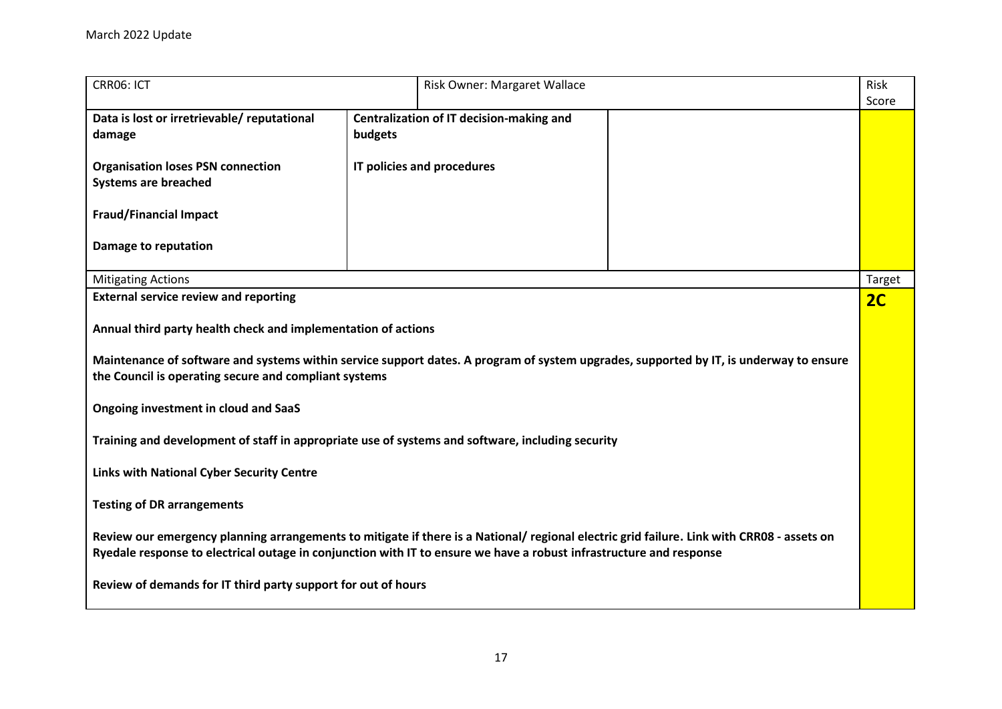| CRR06: ICT                                                                                                                                                                                                                                                        |         | Risk Owner: Margaret Wallace             |  | Risk<br>Score |
|-------------------------------------------------------------------------------------------------------------------------------------------------------------------------------------------------------------------------------------------------------------------|---------|------------------------------------------|--|---------------|
| Data is lost or irretrievable/ reputational<br>damage                                                                                                                                                                                                             | budgets | Centralization of IT decision-making and |  |               |
| <b>Organisation loses PSN connection</b><br><b>Systems are breached</b>                                                                                                                                                                                           |         | IT policies and procedures               |  |               |
| <b>Fraud/Financial Impact</b>                                                                                                                                                                                                                                     |         |                                          |  |               |
| Damage to reputation                                                                                                                                                                                                                                              |         |                                          |  |               |
| <b>Mitigating Actions</b>                                                                                                                                                                                                                                         |         |                                          |  | Target        |
| <b>External service review and reporting</b>                                                                                                                                                                                                                      |         |                                          |  | 2C            |
| Annual third party health check and implementation of actions<br>Maintenance of software and systems within service support dates. A program of system upgrades, supported by IT, is underway to ensure                                                           |         |                                          |  |               |
| the Council is operating secure and compliant systems                                                                                                                                                                                                             |         |                                          |  |               |
| <b>Ongoing investment in cloud and SaaS</b>                                                                                                                                                                                                                       |         |                                          |  |               |
| Training and development of staff in appropriate use of systems and software, including security                                                                                                                                                                  |         |                                          |  |               |
| <b>Links with National Cyber Security Centre</b>                                                                                                                                                                                                                  |         |                                          |  |               |
| <b>Testing of DR arrangements</b>                                                                                                                                                                                                                                 |         |                                          |  |               |
| Review our emergency planning arrangements to mitigate if there is a National/ regional electric grid failure. Link with CRR08 - assets on<br>Ryedale response to electrical outage in conjunction with IT to ensure we have a robust infrastructure and response |         |                                          |  |               |
| Review of demands for IT third party support for out of hours                                                                                                                                                                                                     |         |                                          |  |               |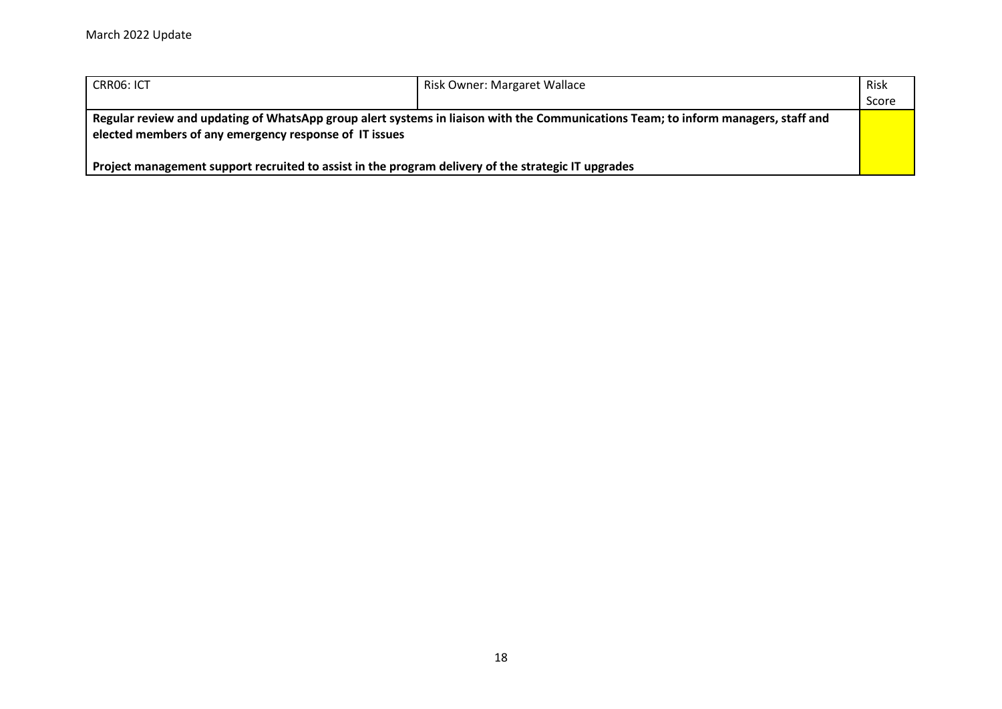| CRRO6: ICT                                                                                                                                                                                   | Risk Owner: Margaret Wallace | Risk  |
|----------------------------------------------------------------------------------------------------------------------------------------------------------------------------------------------|------------------------------|-------|
|                                                                                                                                                                                              |                              | Score |
| Regular review and updating of WhatsApp group alert systems in liaison with the Communications Team; to inform managers, staff and<br>elected members of any emergency response of IT issues |                              |       |
| Project management support recruited to assist in the program delivery of the strategic IT upgrades                                                                                          |                              |       |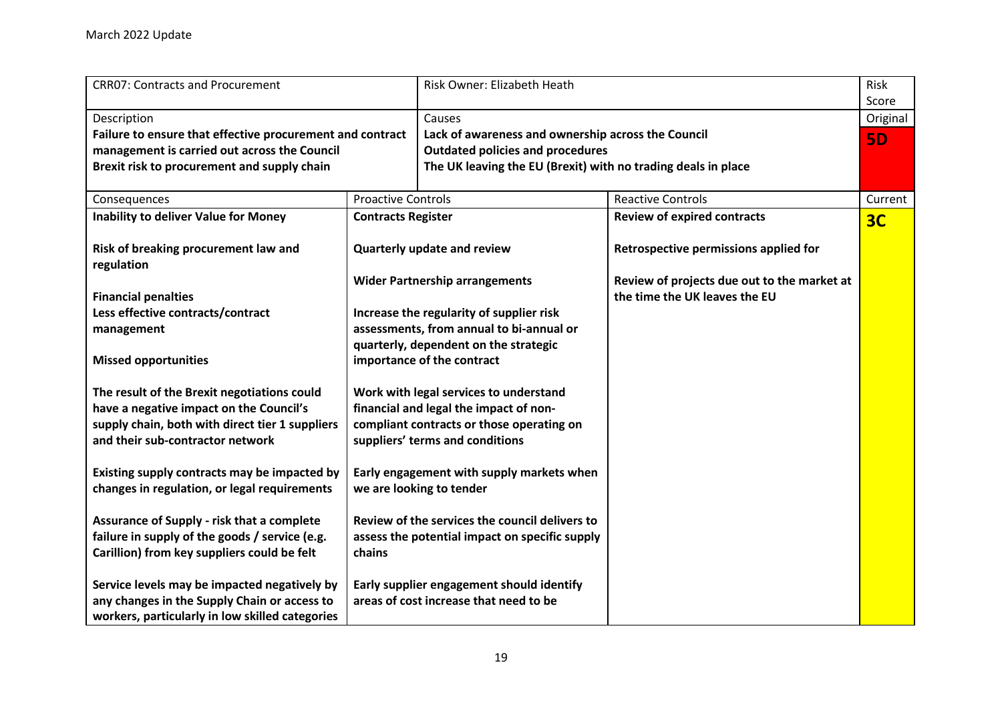<span id="page-18-0"></span>

| <b>CRR07: Contracts and Procurement</b>                                                                                                                  |                                                                                                            | Risk Owner: Elizabeth Heath                                                                                                                                    |                                                                              | Risk<br>Score  |
|----------------------------------------------------------------------------------------------------------------------------------------------------------|------------------------------------------------------------------------------------------------------------|----------------------------------------------------------------------------------------------------------------------------------------------------------------|------------------------------------------------------------------------------|----------------|
| Description                                                                                                                                              |                                                                                                            | Causes                                                                                                                                                         |                                                                              | Original       |
| Failure to ensure that effective procurement and contract<br>management is carried out across the Council<br>Brexit risk to procurement and supply chain |                                                                                                            | Lack of awareness and ownership across the Council<br><b>Outdated policies and procedures</b><br>The UK leaving the EU (Brexit) with no trading deals in place |                                                                              | <b>5D</b>      |
| Consequences                                                                                                                                             | <b>Proactive Controls</b>                                                                                  |                                                                                                                                                                | <b>Reactive Controls</b>                                                     | Current        |
| <b>Inability to deliver Value for Money</b>                                                                                                              | <b>Contracts Register</b>                                                                                  |                                                                                                                                                                | <b>Review of expired contracts</b>                                           | 3 <sub>C</sub> |
| Risk of breaking procurement law and<br>regulation                                                                                                       | Quarterly update and review                                                                                |                                                                                                                                                                | Retrospective permissions applied for                                        |                |
| <b>Financial penalties</b>                                                                                                                               |                                                                                                            | <b>Wider Partnership arrangements</b>                                                                                                                          | Review of projects due out to the market at<br>the time the UK leaves the EU |                |
| Less effective contracts/contract                                                                                                                        |                                                                                                            | Increase the regularity of supplier risk                                                                                                                       |                                                                              |                |
| management                                                                                                                                               |                                                                                                            | assessments, from annual to bi-annual or                                                                                                                       |                                                                              |                |
| <b>Missed opportunities</b>                                                                                                                              | quarterly, dependent on the strategic<br>importance of the contract                                        |                                                                                                                                                                |                                                                              |                |
| The result of the Brexit negotiations could                                                                                                              |                                                                                                            | Work with legal services to understand                                                                                                                         |                                                                              |                |
| have a negative impact on the Council's                                                                                                                  |                                                                                                            | financial and legal the impact of non-                                                                                                                         |                                                                              |                |
| supply chain, both with direct tier 1 suppliers                                                                                                          | compliant contracts or those operating on                                                                  |                                                                                                                                                                |                                                                              |                |
| and their sub-contractor network                                                                                                                         |                                                                                                            | suppliers' terms and conditions                                                                                                                                |                                                                              |                |
| Existing supply contracts may be impacted by<br>changes in regulation, or legal requirements                                                             | Early engagement with supply markets when<br>we are looking to tender                                      |                                                                                                                                                                |                                                                              |                |
| <b>Assurance of Supply - risk that a complete</b><br>failure in supply of the goods / service (e.g.<br>Carillion) from key suppliers could be felt       | Review of the services the council delivers to<br>assess the potential impact on specific supply<br>chains |                                                                                                                                                                |                                                                              |                |
| Service levels may be impacted negatively by<br>any changes in the Supply Chain or access to<br>workers, particularly in low skilled categories          |                                                                                                            | Early supplier engagement should identify<br>areas of cost increase that need to be                                                                            |                                                                              |                |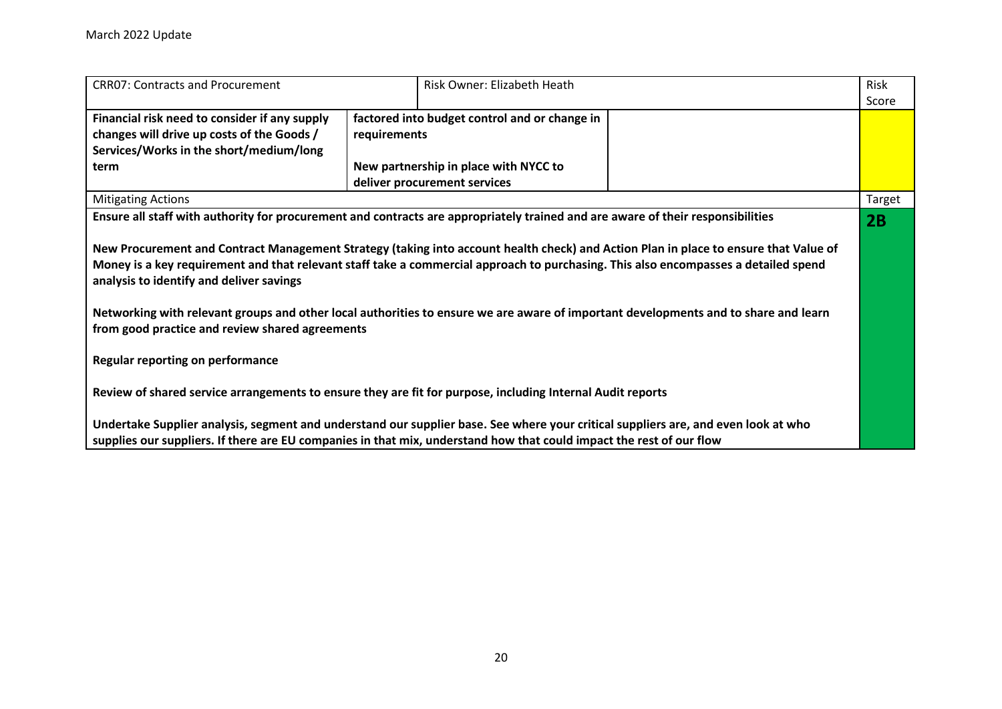| <b>CRRO7: Contracts and Procurement</b>                                                                                                                                                | Risk Owner: Elizabeth Heath                                                                                                                                                                                                                                | Risk   |  |  |
|----------------------------------------------------------------------------------------------------------------------------------------------------------------------------------------|------------------------------------------------------------------------------------------------------------------------------------------------------------------------------------------------------------------------------------------------------------|--------|--|--|
|                                                                                                                                                                                        |                                                                                                                                                                                                                                                            | Score  |  |  |
| Financial risk need to consider if any supply                                                                                                                                          | factored into budget control and or change in                                                                                                                                                                                                              |        |  |  |
| changes will drive up costs of the Goods /                                                                                                                                             | requirements                                                                                                                                                                                                                                               |        |  |  |
| Services/Works in the short/medium/long                                                                                                                                                |                                                                                                                                                                                                                                                            |        |  |  |
| term                                                                                                                                                                                   | New partnership in place with NYCC to                                                                                                                                                                                                                      |        |  |  |
|                                                                                                                                                                                        | deliver procurement services                                                                                                                                                                                                                               |        |  |  |
| <b>Mitigating Actions</b>                                                                                                                                                              |                                                                                                                                                                                                                                                            | Target |  |  |
|                                                                                                                                                                                        | Ensure all staff with authority for procurement and contracts are appropriately trained and are aware of their responsibilities                                                                                                                            | 2B     |  |  |
|                                                                                                                                                                                        | New Procurement and Contract Management Strategy (taking into account health check) and Action Plan in place to ensure that Value of                                                                                                                       |        |  |  |
| analysis to identify and deliver savings                                                                                                                                               | Money is a key requirement and that relevant staff take a commercial approach to purchasing. This also encompasses a detailed spend                                                                                                                        |        |  |  |
| Networking with relevant groups and other local authorities to ensure we are aware of important developments and to share and learn<br>from good practice and review shared agreements |                                                                                                                                                                                                                                                            |        |  |  |
| <b>Regular reporting on performance</b>                                                                                                                                                |                                                                                                                                                                                                                                                            |        |  |  |
| Review of shared service arrangements to ensure they are fit for purpose, including Internal Audit reports                                                                             |                                                                                                                                                                                                                                                            |        |  |  |
|                                                                                                                                                                                        | Undertake Supplier analysis, segment and understand our supplier base. See where your critical suppliers are, and even look at who<br>supplies our suppliers. If there are EU companies in that mix, understand how that could impact the rest of our flow |        |  |  |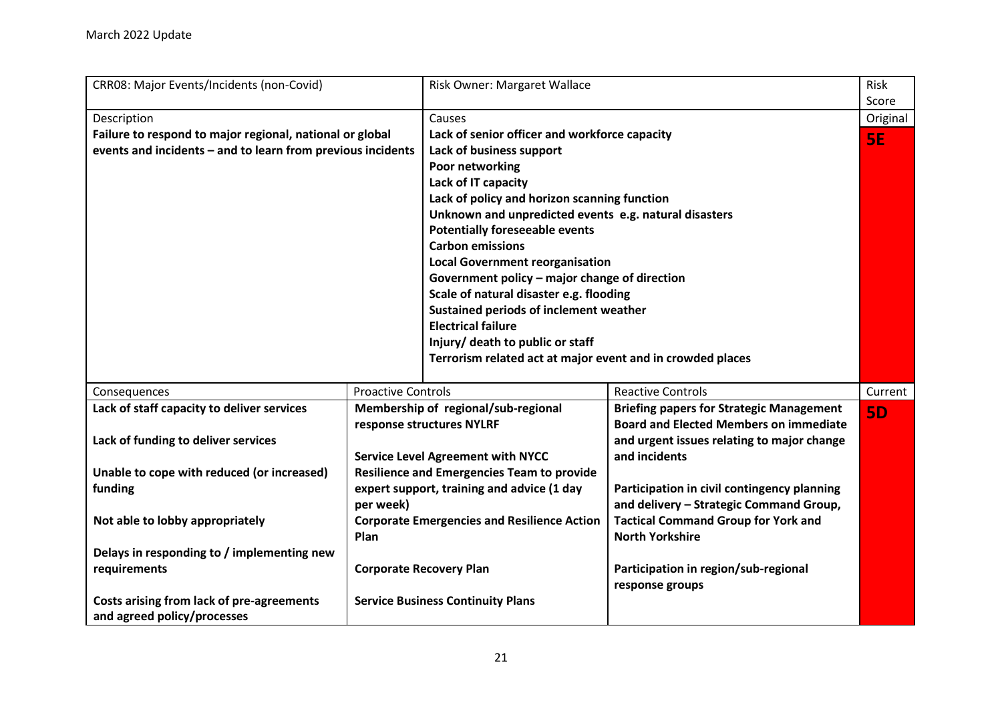<span id="page-20-0"></span>

| CRR08: Major Events/Incidents (non-Covid)                   |                           | Risk Owner: Margaret Wallace                               |                                                 | Risk      |
|-------------------------------------------------------------|---------------------------|------------------------------------------------------------|-------------------------------------------------|-----------|
|                                                             |                           |                                                            |                                                 | Score     |
| Description                                                 |                           | Causes                                                     |                                                 | Original  |
| Failure to respond to major regional, national or global    |                           | Lack of senior officer and workforce capacity              |                                                 | <b>5E</b> |
| events and incidents - and to learn from previous incidents |                           | Lack of business support                                   |                                                 |           |
|                                                             |                           | Poor networking                                            |                                                 |           |
|                                                             |                           | Lack of IT capacity                                        |                                                 |           |
|                                                             |                           | Lack of policy and horizon scanning function               |                                                 |           |
|                                                             |                           | Unknown and unpredicted events e.g. natural disasters      |                                                 |           |
|                                                             |                           | <b>Potentially foreseeable events</b>                      |                                                 |           |
|                                                             |                           | <b>Carbon emissions</b>                                    |                                                 |           |
|                                                             |                           | <b>Local Government reorganisation</b>                     |                                                 |           |
|                                                             |                           | Government policy - major change of direction              |                                                 |           |
|                                                             |                           | Scale of natural disaster e.g. flooding                    |                                                 |           |
|                                                             |                           | Sustained periods of inclement weather                     |                                                 |           |
|                                                             |                           | <b>Electrical failure</b>                                  |                                                 |           |
|                                                             |                           | Injury/ death to public or staff                           |                                                 |           |
|                                                             |                           | Terrorism related act at major event and in crowded places |                                                 |           |
|                                                             |                           |                                                            |                                                 |           |
| Consequences                                                | <b>Proactive Controls</b> |                                                            | <b>Reactive Controls</b>                        | Current   |
| Lack of staff capacity to deliver services                  |                           | Membership of regional/sub-regional                        | <b>Briefing papers for Strategic Management</b> | <b>5D</b> |
|                                                             |                           | response structures NYLRF                                  | <b>Board and Elected Members on immediate</b>   |           |
| Lack of funding to deliver services                         |                           |                                                            | and urgent issues relating to major change      |           |
|                                                             |                           | <b>Service Level Agreement with NYCC</b>                   | and incidents                                   |           |
| Unable to cope with reduced (or increased)                  |                           | <b>Resilience and Emergencies Team to provide</b>          |                                                 |           |
| funding                                                     |                           | expert support, training and advice (1 day                 | Participation in civil contingency planning     |           |
|                                                             | per week)                 |                                                            | and delivery - Strategic Command Group,         |           |
| Not able to lobby appropriately                             |                           | <b>Corporate Emergencies and Resilience Action</b>         | <b>Tactical Command Group for York and</b>      |           |
|                                                             | Plan                      |                                                            | <b>North Yorkshire</b>                          |           |
| Delays in responding to / implementing new                  |                           |                                                            |                                                 |           |
| requirements                                                |                           | <b>Corporate Recovery Plan</b>                             | Participation in region/sub-regional            |           |
|                                                             |                           |                                                            | response groups                                 |           |
| Costs arising from lack of pre-agreements                   |                           | <b>Service Business Continuity Plans</b>                   |                                                 |           |
| and agreed policy/processes                                 |                           |                                                            |                                                 |           |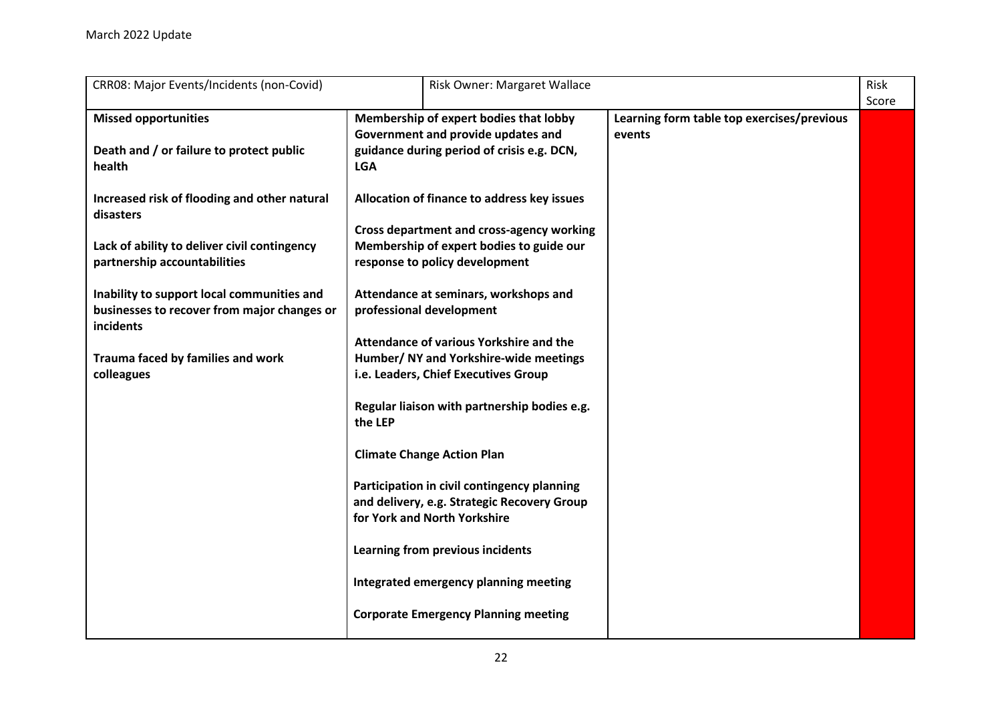| CRR08: Major Events/Incidents (non-Covid)<br>Risk Owner: Margaret Wallace                                                                                                                                                                                                                                                                                                                   |                                                                                                                                                                                                                                                                                                                                                                                                                                                                                                                                                                                        |                                                      | Risk  |
|---------------------------------------------------------------------------------------------------------------------------------------------------------------------------------------------------------------------------------------------------------------------------------------------------------------------------------------------------------------------------------------------|----------------------------------------------------------------------------------------------------------------------------------------------------------------------------------------------------------------------------------------------------------------------------------------------------------------------------------------------------------------------------------------------------------------------------------------------------------------------------------------------------------------------------------------------------------------------------------------|------------------------------------------------------|-------|
| <b>Missed opportunities</b><br>Death and / or failure to protect public<br>health<br>Increased risk of flooding and other natural<br>disasters<br>Lack of ability to deliver civil contingency<br>partnership accountabilities<br>Inability to support local communities and<br>businesses to recover from major changes or<br>incidents<br>Trauma faced by families and work<br>colleagues | Membership of expert bodies that lobby<br>Government and provide updates and<br>guidance during period of crisis e.g. DCN,<br><b>LGA</b><br>Allocation of finance to address key issues<br><b>Cross department and cross-agency working</b><br>Membership of expert bodies to guide our<br>response to policy development<br>Attendance at seminars, workshops and<br>professional development<br>Attendance of various Yorkshire and the<br>Humber/ NY and Yorkshire-wide meetings<br>i.e. Leaders, Chief Executives Group<br>Regular liaison with partnership bodies e.g.<br>the LEP | Learning form table top exercises/previous<br>events | Score |
|                                                                                                                                                                                                                                                                                                                                                                                             | <b>Climate Change Action Plan</b><br>Participation in civil contingency planning<br>and delivery, e.g. Strategic Recovery Group<br>for York and North Yorkshire<br>Learning from previous incidents<br>Integrated emergency planning meeting<br><b>Corporate Emergency Planning meeting</b>                                                                                                                                                                                                                                                                                            |                                                      |       |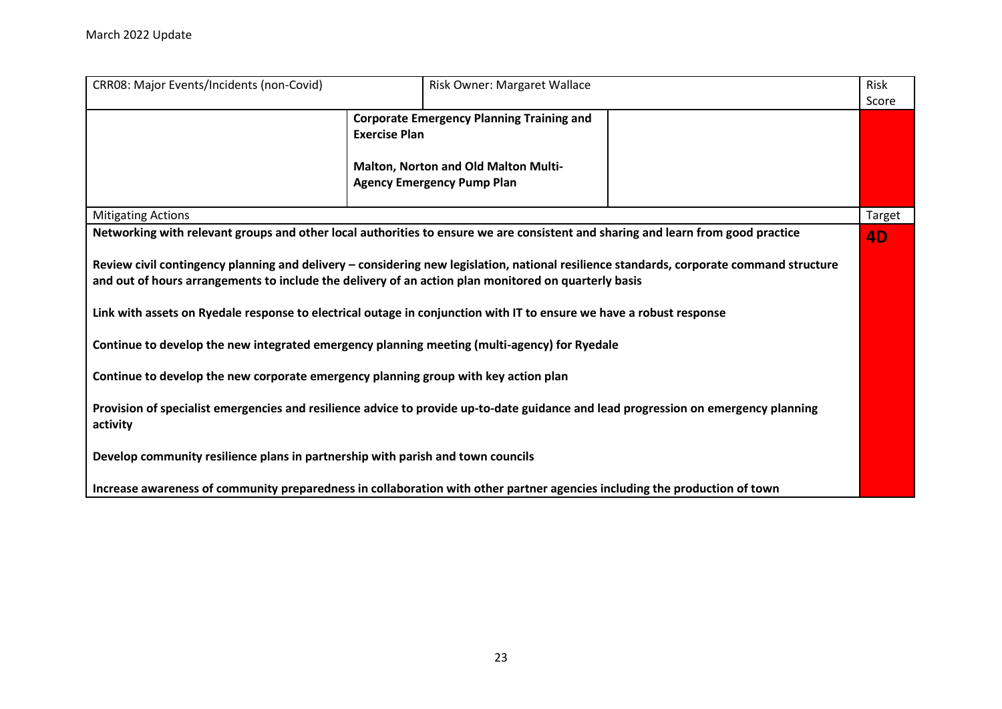| CRR08: Major Events/Incidents (non-Covid)                                                                                                                                                                                                        |                      | Risk Owner: Margaret Wallace                                                                                                     | Risk      |  |
|--------------------------------------------------------------------------------------------------------------------------------------------------------------------------------------------------------------------------------------------------|----------------------|----------------------------------------------------------------------------------------------------------------------------------|-----------|--|
|                                                                                                                                                                                                                                                  |                      |                                                                                                                                  | Score     |  |
|                                                                                                                                                                                                                                                  | <b>Exercise Plan</b> | <b>Corporate Emergency Planning Training and</b>                                                                                 |           |  |
|                                                                                                                                                                                                                                                  |                      | <b>Malton, Norton and Old Malton Multi-</b><br><b>Agency Emergency Pump Plan</b>                                                 |           |  |
| <b>Mitigating Actions</b>                                                                                                                                                                                                                        |                      |                                                                                                                                  | Target    |  |
|                                                                                                                                                                                                                                                  |                      | Networking with relevant groups and other local authorities to ensure we are consistent and sharing and learn from good practice | <b>4D</b> |  |
| Review civil contingency planning and delivery - considering new legislation, national resilience standards, corporate command structure<br>and out of hours arrangements to include the delivery of an action plan monitored on quarterly basis |                      |                                                                                                                                  |           |  |
| Link with assets on Ryedale response to electrical outage in conjunction with IT to ensure we have a robust response                                                                                                                             |                      |                                                                                                                                  |           |  |
| Continue to develop the new integrated emergency planning meeting (multi-agency) for Ryedale                                                                                                                                                     |                      |                                                                                                                                  |           |  |
| Continue to develop the new corporate emergency planning group with key action plan                                                                                                                                                              |                      |                                                                                                                                  |           |  |
| Provision of specialist emergencies and resilience advice to provide up-to-date guidance and lead progression on emergency planning<br>activity                                                                                                  |                      |                                                                                                                                  |           |  |
| Develop community resilience plans in partnership with parish and town councils                                                                                                                                                                  |                      |                                                                                                                                  |           |  |
|                                                                                                                                                                                                                                                  |                      | Increase awareness of community preparedness in collaboration with other partner agencies including the production of town       |           |  |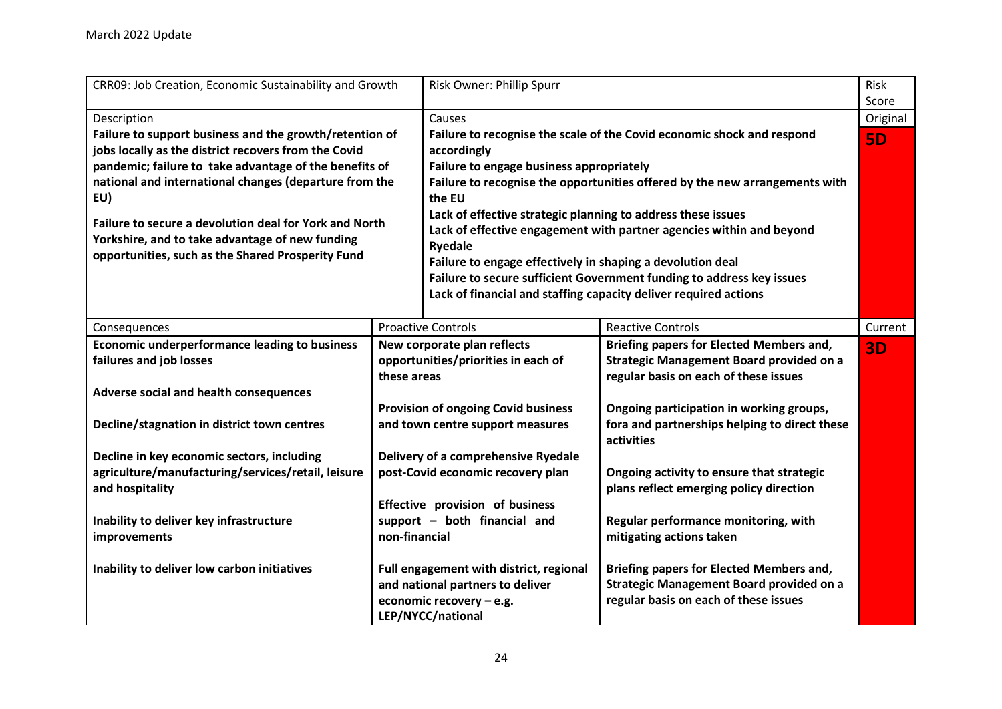<span id="page-23-0"></span>

| CRR09: Job Creation, Economic Sustainability and Growth                                                                                                        |                                            | Risk Owner: Phillip Spurr                                                                                                                                                                                                                                                                     |                                                                                                                                             | Risk      |
|----------------------------------------------------------------------------------------------------------------------------------------------------------------|--------------------------------------------|-----------------------------------------------------------------------------------------------------------------------------------------------------------------------------------------------------------------------------------------------------------------------------------------------|---------------------------------------------------------------------------------------------------------------------------------------------|-----------|
|                                                                                                                                                                |                                            |                                                                                                                                                                                                                                                                                               |                                                                                                                                             | Score     |
| Description                                                                                                                                                    |                                            | Causes                                                                                                                                                                                                                                                                                        |                                                                                                                                             | Original  |
| Failure to support business and the growth/retention of<br>jobs locally as the district recovers from the Covid                                                |                                            | Failure to recognise the scale of the Covid economic shock and respond<br>accordingly                                                                                                                                                                                                         |                                                                                                                                             | <b>5D</b> |
| pandemic; failure to take advantage of the benefits of                                                                                                         |                                            | Failure to engage business appropriately                                                                                                                                                                                                                                                      |                                                                                                                                             |           |
| national and international changes (departure from the<br>EU)                                                                                                  |                                            | Failure to recognise the opportunities offered by the new arrangements with<br>the EU                                                                                                                                                                                                         |                                                                                                                                             |           |
| Failure to secure a devolution deal for York and North<br>Yorkshire, and to take advantage of new funding<br>opportunities, such as the Shared Prosperity Fund |                                            | Lack of effective strategic planning to address these issues<br>Lack of effective engagement with partner agencies within and beyond<br><b>Ryedale</b><br>Failure to engage effectively in shaping a devolution deal<br>Failure to secure sufficient Government funding to address key issues |                                                                                                                                             |           |
|                                                                                                                                                                |                                            |                                                                                                                                                                                                                                                                                               | Lack of financial and staffing capacity deliver required actions                                                                            |           |
| Consequences                                                                                                                                                   |                                            | <b>Proactive Controls</b>                                                                                                                                                                                                                                                                     | <b>Reactive Controls</b>                                                                                                                    | Current   |
| <b>Economic underperformance leading to business</b>                                                                                                           |                                            | New corporate plan reflects                                                                                                                                                                                                                                                                   | <b>Briefing papers for Elected Members and,</b>                                                                                             | <b>3D</b> |
| failures and job losses                                                                                                                                        | these areas                                | opportunities/priorities in each of                                                                                                                                                                                                                                                           | <b>Strategic Management Board provided on a</b><br>regular basis on each of these issues                                                    |           |
| Adverse social and health consequences                                                                                                                         |                                            |                                                                                                                                                                                                                                                                                               |                                                                                                                                             |           |
|                                                                                                                                                                | <b>Provision of ongoing Covid business</b> |                                                                                                                                                                                                                                                                                               | Ongoing participation in working groups,                                                                                                    |           |
| Decline/stagnation in district town centres                                                                                                                    | and town centre support measures           |                                                                                                                                                                                                                                                                                               | fora and partnerships helping to direct these<br>activities                                                                                 |           |
| Decline in key economic sectors, including                                                                                                                     |                                            | Delivery of a comprehensive Ryedale                                                                                                                                                                                                                                                           |                                                                                                                                             |           |
| agriculture/manufacturing/services/retail, leisure<br>and hospitality                                                                                          | post-Covid economic recovery plan          |                                                                                                                                                                                                                                                                                               | Ongoing activity to ensure that strategic<br>plans reflect emerging policy direction                                                        |           |
|                                                                                                                                                                |                                            | Effective provision of business                                                                                                                                                                                                                                                               |                                                                                                                                             |           |
| Inability to deliver key infrastructure                                                                                                                        |                                            | support - both financial and                                                                                                                                                                                                                                                                  | Regular performance monitoring, with                                                                                                        |           |
| <b>improvements</b>                                                                                                                                            | non-financial                              |                                                                                                                                                                                                                                                                                               | mitigating actions taken                                                                                                                    |           |
| Inability to deliver low carbon initiatives                                                                                                                    |                                            | Full engagement with district, regional<br>and national partners to deliver<br>economic recovery - e.g.<br>LEP/NYCC/national                                                                                                                                                                  | <b>Briefing papers for Elected Members and,</b><br><b>Strategic Management Board provided on a</b><br>regular basis on each of these issues |           |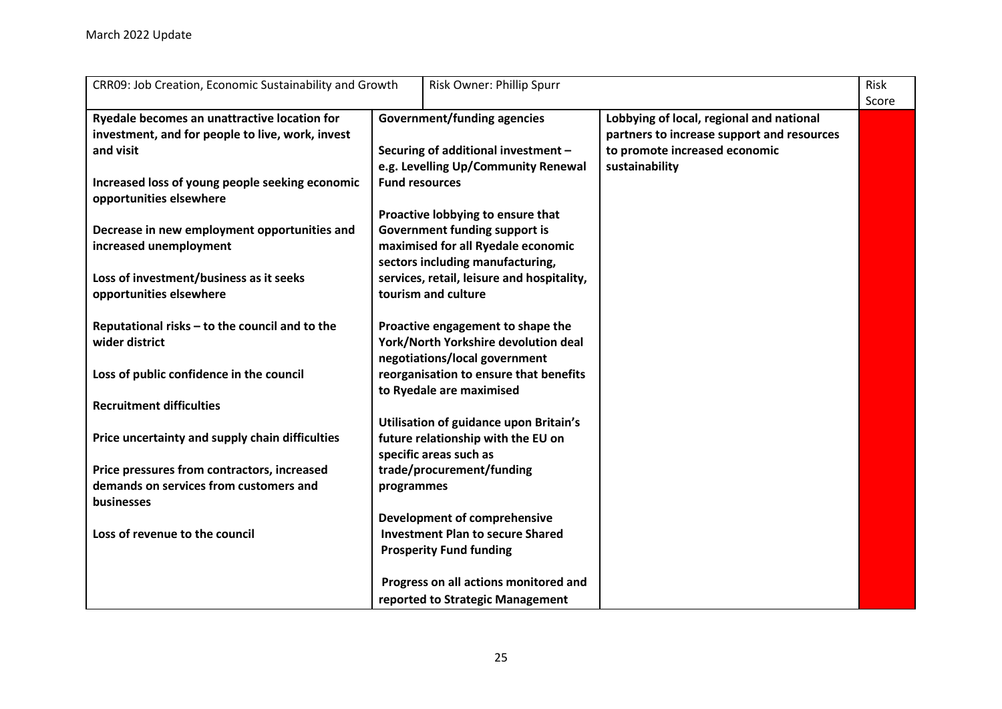| CRR09: Job Creation, Economic Sustainability and Growth                                          | Risk Owner: Phillip Spurr                                                                                                     | <b>Risk</b><br>Score |
|--------------------------------------------------------------------------------------------------|-------------------------------------------------------------------------------------------------------------------------------|----------------------|
| Ryedale becomes an unattractive location for<br>investment, and for people to live, work, invest | <b>Government/funding agencies</b><br>Lobbying of local, regional and national<br>partners to increase support and resources  |                      |
| and visit                                                                                        | Securing of additional investment -<br>to promote increased economic<br>e.g. Levelling Up/Community Renewal<br>sustainability |                      |
| Increased loss of young people seeking economic<br>opportunities elsewhere                       | <b>Fund resources</b>                                                                                                         |                      |
|                                                                                                  | Proactive lobbying to ensure that                                                                                             |                      |
| Decrease in new employment opportunities and<br>increased unemployment                           | <b>Government funding support is</b><br>maximised for all Ryedale economic                                                    |                      |
| Loss of investment/business as it seeks                                                          | sectors including manufacturing,<br>services, retail, leisure and hospitality,                                                |                      |
| opportunities elsewhere                                                                          | tourism and culture                                                                                                           |                      |
| Reputational risks - to the council and to the                                                   | Proactive engagement to shape the                                                                                             |                      |
| wider district                                                                                   | York/North Yorkshire devolution deal<br>negotiations/local government                                                         |                      |
| Loss of public confidence in the council                                                         | reorganisation to ensure that benefits<br>to Ryedale are maximised                                                            |                      |
| <b>Recruitment difficulties</b>                                                                  |                                                                                                                               |                      |
|                                                                                                  | Utilisation of guidance upon Britain's                                                                                        |                      |
| Price uncertainty and supply chain difficulties                                                  | future relationship with the EU on<br>specific areas such as                                                                  |                      |
| Price pressures from contractors, increased                                                      | trade/procurement/funding                                                                                                     |                      |
| demands on services from customers and<br>businesses                                             | programmes                                                                                                                    |                      |
|                                                                                                  | Development of comprehensive                                                                                                  |                      |
| Loss of revenue to the council                                                                   | <b>Investment Plan to secure Shared</b><br><b>Prosperity Fund funding</b>                                                     |                      |
|                                                                                                  |                                                                                                                               |                      |
|                                                                                                  | Progress on all actions monitored and                                                                                         |                      |
|                                                                                                  | reported to Strategic Management                                                                                              |                      |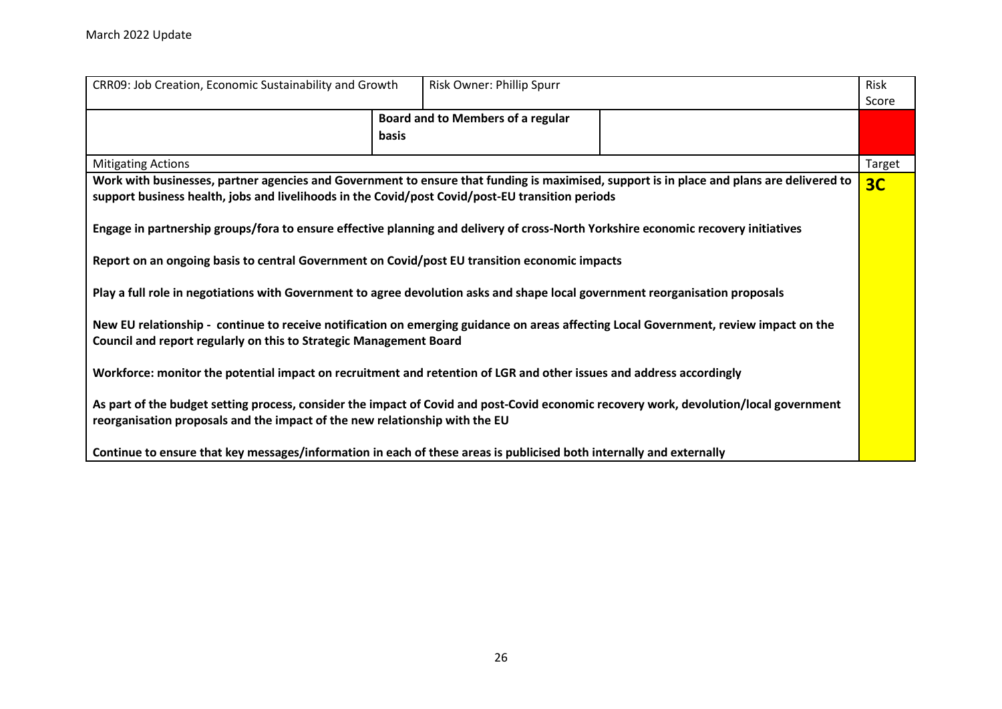| CRR09: Job Creation, Economic Sustainability and Growth                                                                                                                                                                                       |              | Risk Owner: Phillip Spurr                |                | Risk   |
|-----------------------------------------------------------------------------------------------------------------------------------------------------------------------------------------------------------------------------------------------|--------------|------------------------------------------|----------------|--------|
|                                                                                                                                                                                                                                               |              |                                          |                | Score  |
|                                                                                                                                                                                                                                               |              | <b>Board and to Members of a regular</b> |                |        |
|                                                                                                                                                                                                                                               | <b>basis</b> |                                          |                |        |
| <b>Mitigating Actions</b>                                                                                                                                                                                                                     |              |                                          |                | Target |
| Work with businesses, partner agencies and Government to ensure that funding is maximised, support is in place and plans are delivered to<br>support business health, jobs and livelihoods in the Covid/post Covid/post-EU transition periods |              |                                          | 3 <sub>C</sub> |        |
| Engage in partnership groups/fora to ensure effective planning and delivery of cross-North Yorkshire economic recovery initiatives                                                                                                            |              |                                          |                |        |
| Report on an ongoing basis to central Government on Covid/post EU transition economic impacts                                                                                                                                                 |              |                                          |                |        |
| Play a full role in negotiations with Government to agree devolution asks and shape local government reorganisation proposals                                                                                                                 |              |                                          |                |        |
| New EU relationship - continue to receive notification on emerging guidance on areas affecting Local Government, review impact on the<br>Council and report regularly on this to Strategic Management Board                                   |              |                                          |                |        |
| Workforce: monitor the potential impact on recruitment and retention of LGR and other issues and address accordingly                                                                                                                          |              |                                          |                |        |
| As part of the budget setting process, consider the impact of Covid and post-Covid economic recovery work, devolution/local government<br>reorganisation proposals and the impact of the new relationship with the EU                         |              |                                          |                |        |
| Continue to ensure that key messages/information in each of these areas is publicised both internally and externally                                                                                                                          |              |                                          |                |        |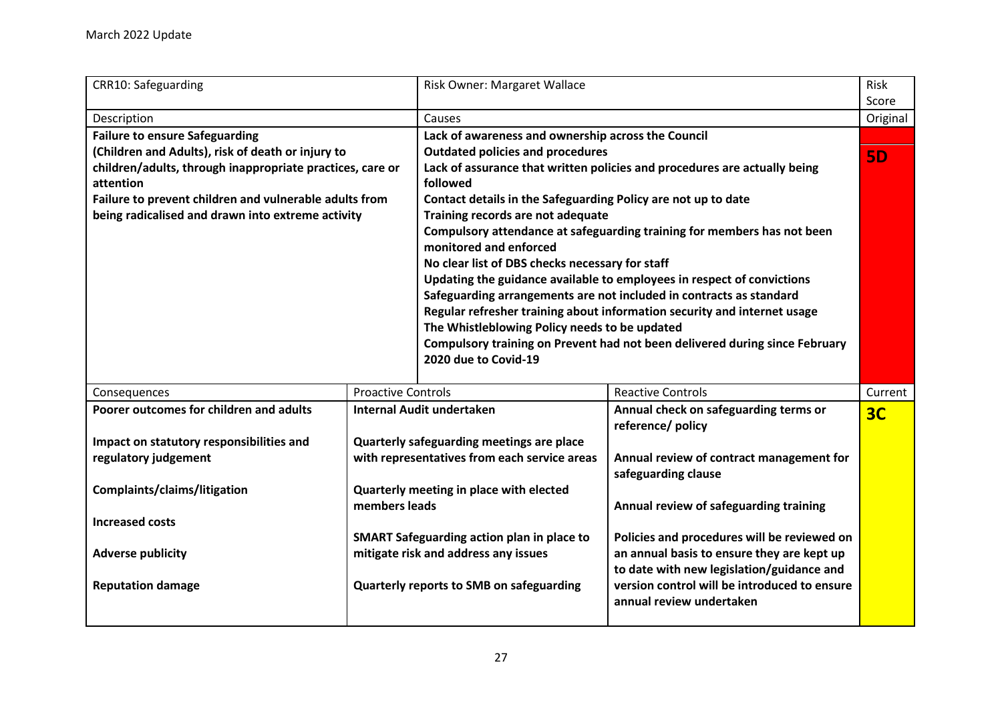<span id="page-26-0"></span>

| <b>CRR10: Safeguarding</b>                                             |                                                   | Risk Owner: Margaret Wallace                                                          |                                                                             | Risk<br>Score  |
|------------------------------------------------------------------------|---------------------------------------------------|---------------------------------------------------------------------------------------|-----------------------------------------------------------------------------|----------------|
| Description                                                            |                                                   | Causes                                                                                |                                                                             | Original       |
| <b>Failure to ensure Safeguarding</b>                                  |                                                   | Lack of awareness and ownership across the Council                                    |                                                                             |                |
| (Children and Adults), risk of death or injury to                      |                                                   | <b>Outdated policies and procedures</b>                                               |                                                                             | <b>5D</b>      |
| children/adults, through inappropriate practices, care or<br>attention |                                                   | Lack of assurance that written policies and procedures are actually being<br>followed |                                                                             |                |
| Failure to prevent children and vulnerable adults from                 |                                                   | Contact details in the Safeguarding Policy are not up to date                         |                                                                             |                |
| being radicalised and drawn into extreme activity                      |                                                   | Training records are not adequate                                                     |                                                                             |                |
|                                                                        |                                                   |                                                                                       | Compulsory attendance at safeguarding training for members has not been     |                |
|                                                                        |                                                   | monitored and enforced                                                                |                                                                             |                |
|                                                                        |                                                   | No clear list of DBS checks necessary for staff                                       |                                                                             |                |
|                                                                        |                                                   |                                                                                       | Updating the guidance available to employees in respect of convictions      |                |
|                                                                        |                                                   |                                                                                       | Safeguarding arrangements are not included in contracts as standard         |                |
|                                                                        |                                                   |                                                                                       | Regular refresher training about information security and internet usage    |                |
|                                                                        |                                                   | The Whistleblowing Policy needs to be updated                                         |                                                                             |                |
|                                                                        |                                                   |                                                                                       | Compulsory training on Prevent had not been delivered during since February |                |
|                                                                        |                                                   | 2020 due to Covid-19                                                                  |                                                                             |                |
| Consequences                                                           | <b>Proactive Controls</b>                         |                                                                                       | <b>Reactive Controls</b>                                                    | Current        |
| Poorer outcomes for children and adults                                |                                                   | <b>Internal Audit undertaken</b>                                                      | Annual check on safeguarding terms or                                       | 3 <sub>C</sub> |
|                                                                        |                                                   |                                                                                       | reference/ policy                                                           |                |
| Impact on statutory responsibilities and                               |                                                   | Quarterly safeguarding meetings are place                                             |                                                                             |                |
| regulatory judgement                                                   |                                                   | with representatives from each service areas                                          | Annual review of contract management for                                    |                |
|                                                                        |                                                   |                                                                                       | safeguarding clause                                                         |                |
| Complaints/claims/litigation                                           |                                                   | Quarterly meeting in place with elected                                               |                                                                             |                |
|                                                                        | members leads                                     |                                                                                       | Annual review of safeguarding training                                      |                |
| <b>Increased costs</b>                                                 |                                                   |                                                                                       |                                                                             |                |
|                                                                        | <b>SMART Safeguarding action plan in place to</b> |                                                                                       | Policies and procedures will be reviewed on                                 |                |
| <b>Adverse publicity</b>                                               |                                                   | mitigate risk and address any issues                                                  | an annual basis to ensure they are kept up                                  |                |
|                                                                        |                                                   |                                                                                       | to date with new legislation/guidance and                                   |                |
| <b>Reputation damage</b>                                               |                                                   | Quarterly reports to SMB on safeguarding                                              | version control will be introduced to ensure                                |                |
|                                                                        |                                                   |                                                                                       | annual review undertaken                                                    |                |
|                                                                        |                                                   |                                                                                       |                                                                             |                |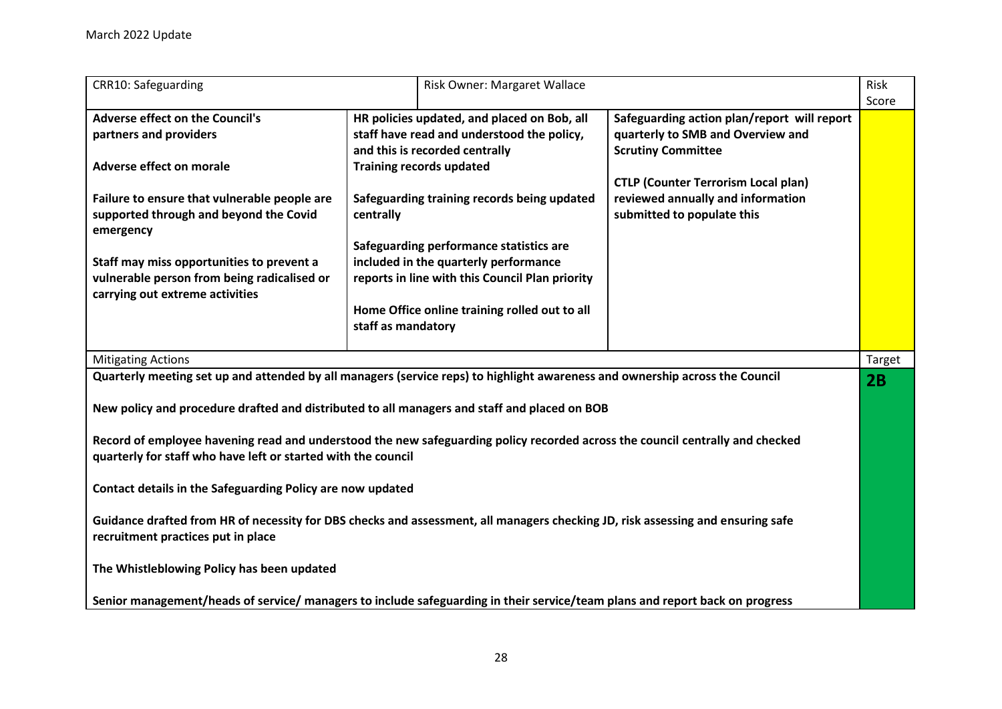| <b>CRR10: Safeguarding</b>                                                                                                                                                                     |                                                                                                                             | Risk Owner: Margaret Wallace                  |                                                                                                               | <b>Risk</b><br>Score |
|------------------------------------------------------------------------------------------------------------------------------------------------------------------------------------------------|-----------------------------------------------------------------------------------------------------------------------------|-----------------------------------------------|---------------------------------------------------------------------------------------------------------------|----------------------|
| <b>Adverse effect on the Council's</b><br>partners and providers                                                                                                                               | HR policies updated, and placed on Bob, all<br>staff have read and understood the policy,<br>and this is recorded centrally |                                               | Safeguarding action plan/report will report<br>quarterly to SMB and Overview and<br><b>Scrutiny Committee</b> |                      |
| Adverse effect on morale                                                                                                                                                                       | <b>Training records updated</b>                                                                                             |                                               | <b>CTLP (Counter Terrorism Local plan)</b>                                                                    |                      |
| Failure to ensure that vulnerable people are<br>supported through and beyond the Covid<br>emergency                                                                                            | centrally                                                                                                                   | Safeguarding training records being updated   | reviewed annually and information<br>submitted to populate this                                               |                      |
| Staff may miss opportunities to prevent a                                                                                                                                                      |                                                                                                                             | Safeguarding performance statistics are       |                                                                                                               |                      |
| vulnerable person from being radicalised or<br>carrying out extreme activities                                                                                                                 | included in the quarterly performance<br>reports in line with this Council Plan priority                                    |                                               |                                                                                                               |                      |
|                                                                                                                                                                                                | staff as mandatory                                                                                                          | Home Office online training rolled out to all |                                                                                                               |                      |
| <b>Mitigating Actions</b>                                                                                                                                                                      |                                                                                                                             |                                               |                                                                                                               | Target               |
| Quarterly meeting set up and attended by all managers (service reps) to highlight awareness and ownership across the Council                                                                   |                                                                                                                             |                                               |                                                                                                               |                      |
| New policy and procedure drafted and distributed to all managers and staff and placed on BOB                                                                                                   |                                                                                                                             |                                               |                                                                                                               |                      |
| Record of employee havening read and understood the new safeguarding policy recorded across the council centrally and checked<br>quarterly for staff who have left or started with the council |                                                                                                                             |                                               |                                                                                                               |                      |
| Contact details in the Safeguarding Policy are now updated                                                                                                                                     |                                                                                                                             |                                               |                                                                                                               |                      |
| Guidance drafted from HR of necessity for DBS checks and assessment, all managers checking JD, risk assessing and ensuring safe<br>recruitment practices put in place                          |                                                                                                                             |                                               |                                                                                                               |                      |
| The Whistleblowing Policy has been updated                                                                                                                                                     |                                                                                                                             |                                               |                                                                                                               |                      |
| Senior management/heads of service/ managers to include safeguarding in their service/team plans and report back on progress                                                                   |                                                                                                                             |                                               |                                                                                                               |                      |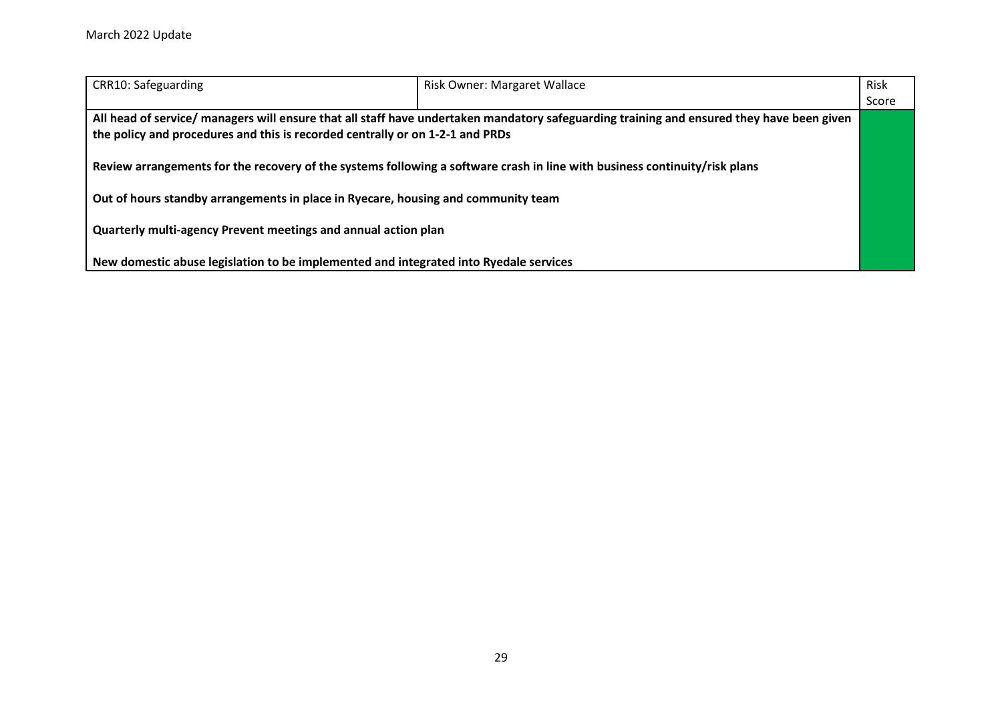| CRR10: Safeguarding                                                                   | <b>Risk Owner: Margaret Wallace</b>                                                                                                       | Risk  |  |
|---------------------------------------------------------------------------------------|-------------------------------------------------------------------------------------------------------------------------------------------|-------|--|
|                                                                                       |                                                                                                                                           | Score |  |
|                                                                                       | All head of service/ managers will ensure that all staff have undertaken mandatory safeguarding training and ensured they have been given |       |  |
| the policy and procedures and this is recorded centrally or on 1-2-1 and PRDs         |                                                                                                                                           |       |  |
|                                                                                       |                                                                                                                                           |       |  |
|                                                                                       | Review arrangements for the recovery of the systems following a software crash in line with business continuity/risk plans                |       |  |
|                                                                                       |                                                                                                                                           |       |  |
| Out of hours standby arrangements in place in Ryecare, housing and community team     |                                                                                                                                           |       |  |
|                                                                                       |                                                                                                                                           |       |  |
| Quarterly multi-agency Prevent meetings and annual action plan                        |                                                                                                                                           |       |  |
|                                                                                       |                                                                                                                                           |       |  |
| New domestic abuse legislation to be implemented and integrated into Ryedale services |                                                                                                                                           |       |  |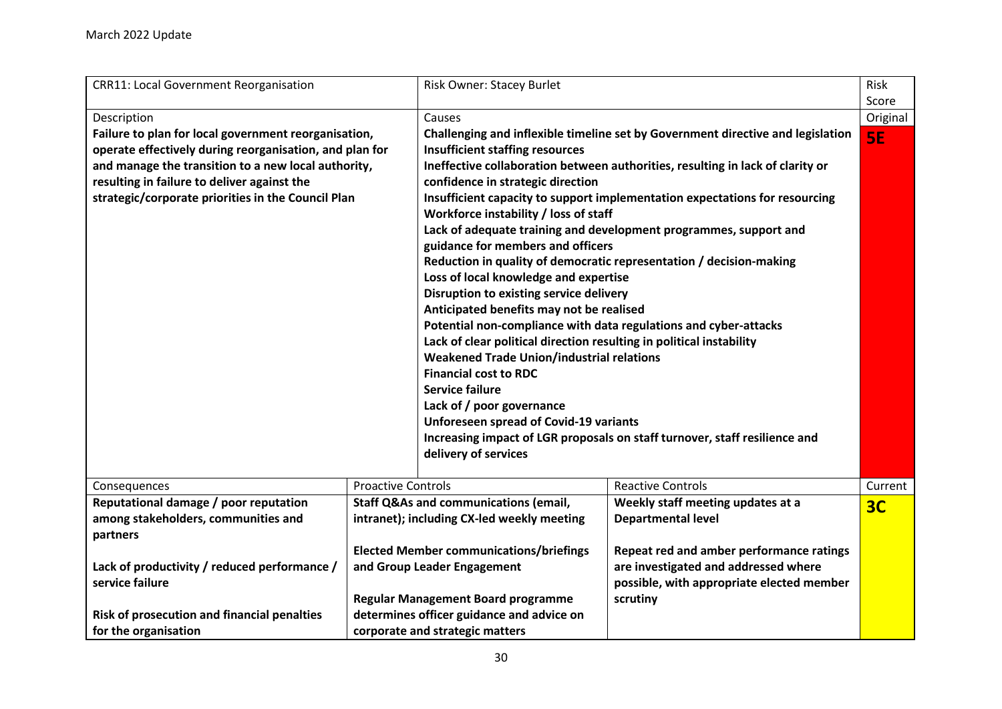<span id="page-29-0"></span>

| <b>CRR11: Local Government Reorganisation</b><br>Risk Owner: Stacey Burlet                                                                                                                                                                                                                                                                                                                                                                                                                                                                                                                                                                                                                                                                                                                                                                                                                                                                                                                                                                                                                                                                                                                                                                                                                                                                                                                                             | Risk     |
|------------------------------------------------------------------------------------------------------------------------------------------------------------------------------------------------------------------------------------------------------------------------------------------------------------------------------------------------------------------------------------------------------------------------------------------------------------------------------------------------------------------------------------------------------------------------------------------------------------------------------------------------------------------------------------------------------------------------------------------------------------------------------------------------------------------------------------------------------------------------------------------------------------------------------------------------------------------------------------------------------------------------------------------------------------------------------------------------------------------------------------------------------------------------------------------------------------------------------------------------------------------------------------------------------------------------------------------------------------------------------------------------------------------------|----------|
|                                                                                                                                                                                                                                                                                                                                                                                                                                                                                                                                                                                                                                                                                                                                                                                                                                                                                                                                                                                                                                                                                                                                                                                                                                                                                                                                                                                                                        | Score    |
| Description<br>Causes                                                                                                                                                                                                                                                                                                                                                                                                                                                                                                                                                                                                                                                                                                                                                                                                                                                                                                                                                                                                                                                                                                                                                                                                                                                                                                                                                                                                  | Original |
| Failure to plan for local government reorganisation,<br>Challenging and inflexible timeline set by Government directive and legislation<br>operate effectively during reorganisation, and plan for<br><b>Insufficient staffing resources</b><br>and manage the transition to a new local authority,<br>Ineffective collaboration between authorities, resulting in lack of clarity or<br>resulting in failure to deliver against the<br>confidence in strategic direction<br>strategic/corporate priorities in the Council Plan<br>Insufficient capacity to support implementation expectations for resourcing<br>Workforce instability / loss of staff<br>Lack of adequate training and development programmes, support and<br>guidance for members and officers<br>Reduction in quality of democratic representation / decision-making<br>Loss of local knowledge and expertise<br>Disruption to existing service delivery<br>Anticipated benefits may not be realised<br>Potential non-compliance with data regulations and cyber-attacks<br>Lack of clear political direction resulting in political instability<br><b>Weakened Trade Union/industrial relations</b><br><b>Financial cost to RDC</b><br><b>Service failure</b><br>Lack of / poor governance<br><b>Unforeseen spread of Covid-19 variants</b><br>Increasing impact of LGR proposals on staff turnover, staff resilience and<br>delivery of services | 5E       |
| <b>Proactive Controls</b><br><b>Reactive Controls</b><br>Consequences                                                                                                                                                                                                                                                                                                                                                                                                                                                                                                                                                                                                                                                                                                                                                                                                                                                                                                                                                                                                                                                                                                                                                                                                                                                                                                                                                  | Current  |
| Reputational damage / poor reputation<br><b>Staff Q&amp;As and communications (email,</b><br>Weekly staff meeting updates at a                                                                                                                                                                                                                                                                                                                                                                                                                                                                                                                                                                                                                                                                                                                                                                                                                                                                                                                                                                                                                                                                                                                                                                                                                                                                                         | 3C       |
| intranet); including CX-led weekly meeting<br><b>Departmental level</b><br>among stakeholders, communities and                                                                                                                                                                                                                                                                                                                                                                                                                                                                                                                                                                                                                                                                                                                                                                                                                                                                                                                                                                                                                                                                                                                                                                                                                                                                                                         |          |
| partners                                                                                                                                                                                                                                                                                                                                                                                                                                                                                                                                                                                                                                                                                                                                                                                                                                                                                                                                                                                                                                                                                                                                                                                                                                                                                                                                                                                                               |          |
| <b>Elected Member communications/briefings</b><br>Repeat red and amber performance ratings                                                                                                                                                                                                                                                                                                                                                                                                                                                                                                                                                                                                                                                                                                                                                                                                                                                                                                                                                                                                                                                                                                                                                                                                                                                                                                                             |          |
| are investigated and addressed where<br>Lack of productivity / reduced performance /<br>and Group Leader Engagement                                                                                                                                                                                                                                                                                                                                                                                                                                                                                                                                                                                                                                                                                                                                                                                                                                                                                                                                                                                                                                                                                                                                                                                                                                                                                                    |          |
| service failure<br>possible, with appropriate elected member<br><b>Regular Management Board programme</b><br>scrutiny                                                                                                                                                                                                                                                                                                                                                                                                                                                                                                                                                                                                                                                                                                                                                                                                                                                                                                                                                                                                                                                                                                                                                                                                                                                                                                  |          |
|                                                                                                                                                                                                                                                                                                                                                                                                                                                                                                                                                                                                                                                                                                                                                                                                                                                                                                                                                                                                                                                                                                                                                                                                                                                                                                                                                                                                                        |          |
| determines officer guidance and advice on<br>Risk of prosecution and financial penalties                                                                                                                                                                                                                                                                                                                                                                                                                                                                                                                                                                                                                                                                                                                                                                                                                                                                                                                                                                                                                                                                                                                                                                                                                                                                                                                               |          |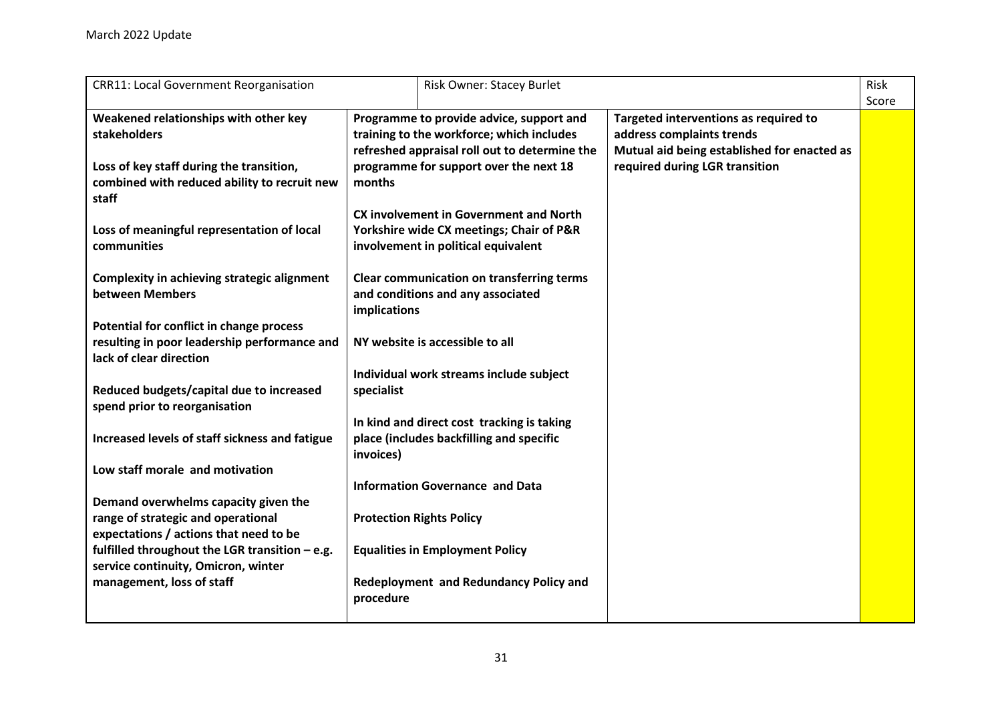| <b>CRR11: Local Government Reorganisation</b>                             |                                 | <b>Risk Owner: Stacey Burlet</b>                 |                                             | Risk<br>Score |
|---------------------------------------------------------------------------|---------------------------------|--------------------------------------------------|---------------------------------------------|---------------|
| Weakened relationships with other key                                     |                                 | Programme to provide advice, support and         | Targeted interventions as required to       |               |
| <b>stakeholders</b>                                                       |                                 | training to the workforce; which includes        | address complaints trends                   |               |
|                                                                           |                                 | refreshed appraisal roll out to determine the    | Mutual aid being established for enacted as |               |
| Loss of key staff during the transition,                                  |                                 | programme for support over the next 18           | required during LGR transition              |               |
| combined with reduced ability to recruit new<br>staff                     | months                          |                                                  |                                             |               |
|                                                                           |                                 | <b>CX involvement in Government and North</b>    |                                             |               |
| Loss of meaningful representation of local                                |                                 | Yorkshire wide CX meetings; Chair of P&R         |                                             |               |
| communities                                                               |                                 | involvement in political equivalent              |                                             |               |
|                                                                           |                                 |                                                  |                                             |               |
| <b>Complexity in achieving strategic alignment</b>                        |                                 | <b>Clear communication on transferring terms</b> |                                             |               |
| between Members                                                           |                                 | and conditions and any associated                |                                             |               |
|                                                                           | implications                    |                                                  |                                             |               |
| Potential for conflict in change process                                  |                                 |                                                  |                                             |               |
| resulting in poor leadership performance and                              |                                 | NY website is accessible to all                  |                                             |               |
| lack of clear direction                                                   |                                 |                                                  |                                             |               |
|                                                                           |                                 | Individual work streams include subject          |                                             |               |
| Reduced budgets/capital due to increased<br>spend prior to reorganisation | specialist                      |                                                  |                                             |               |
|                                                                           |                                 | In kind and direct cost tracking is taking       |                                             |               |
| Increased levels of staff sickness and fatigue                            |                                 | place (includes backfilling and specific         |                                             |               |
|                                                                           | invoices)                       |                                                  |                                             |               |
| Low staff morale and motivation                                           |                                 |                                                  |                                             |               |
|                                                                           |                                 | <b>Information Governance and Data</b>           |                                             |               |
| Demand overwhelms capacity given the                                      |                                 |                                                  |                                             |               |
| range of strategic and operational                                        | <b>Protection Rights Policy</b> |                                                  |                                             |               |
| expectations / actions that need to be                                    |                                 |                                                  |                                             |               |
| fulfilled throughout the LGR transition - e.g.                            |                                 | <b>Equalities in Employment Policy</b>           |                                             |               |
| service continuity, Omicron, winter                                       |                                 |                                                  |                                             |               |
| management, loss of staff                                                 |                                 | Redeployment and Redundancy Policy and           |                                             |               |
|                                                                           | procedure                       |                                                  |                                             |               |
|                                                                           |                                 |                                                  |                                             |               |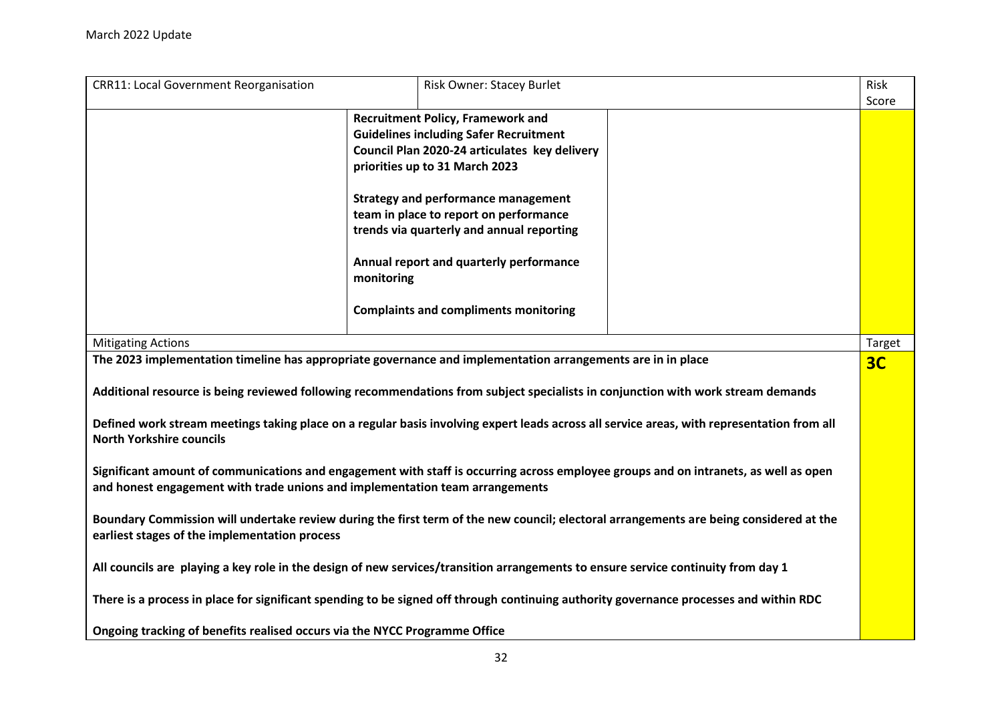| <b>CRR11: Local Government Reorganisation</b>                                                                                              | Risk Owner: Stacey Burlet                                                                                                              | Risk           |  |  |  |
|--------------------------------------------------------------------------------------------------------------------------------------------|----------------------------------------------------------------------------------------------------------------------------------------|----------------|--|--|--|
|                                                                                                                                            |                                                                                                                                        | Score          |  |  |  |
|                                                                                                                                            | <b>Recruitment Policy, Framework and</b>                                                                                               |                |  |  |  |
|                                                                                                                                            | <b>Guidelines including Safer Recruitment</b>                                                                                          |                |  |  |  |
|                                                                                                                                            | Council Plan 2020-24 articulates key delivery                                                                                          |                |  |  |  |
|                                                                                                                                            | priorities up to 31 March 2023                                                                                                         |                |  |  |  |
|                                                                                                                                            |                                                                                                                                        |                |  |  |  |
|                                                                                                                                            | <b>Strategy and performance management</b>                                                                                             |                |  |  |  |
|                                                                                                                                            | team in place to report on performance                                                                                                 |                |  |  |  |
|                                                                                                                                            | trends via quarterly and annual reporting                                                                                              |                |  |  |  |
|                                                                                                                                            |                                                                                                                                        |                |  |  |  |
|                                                                                                                                            | Annual report and quarterly performance<br>monitoring                                                                                  |                |  |  |  |
|                                                                                                                                            |                                                                                                                                        |                |  |  |  |
|                                                                                                                                            | <b>Complaints and compliments monitoring</b>                                                                                           |                |  |  |  |
|                                                                                                                                            |                                                                                                                                        |                |  |  |  |
| <b>Mitigating Actions</b>                                                                                                                  |                                                                                                                                        | <b>Target</b>  |  |  |  |
|                                                                                                                                            | The 2023 implementation timeline has appropriate governance and implementation arrangements are in in place                            | 3 <sub>C</sub> |  |  |  |
|                                                                                                                                            |                                                                                                                                        |                |  |  |  |
| Additional resource is being reviewed following recommendations from subject specialists in conjunction with work stream demands           |                                                                                                                                        |                |  |  |  |
| Defined work stream meetings taking place on a regular basis involving expert leads across all service areas, with representation from all |                                                                                                                                        |                |  |  |  |
| <b>North Yorkshire councils</b>                                                                                                            |                                                                                                                                        |                |  |  |  |
|                                                                                                                                            |                                                                                                                                        |                |  |  |  |
| Significant amount of communications and engagement with staff is occurring across employee groups and on intranets, as well as open       |                                                                                                                                        |                |  |  |  |
|                                                                                                                                            |                                                                                                                                        |                |  |  |  |
| and honest engagement with trade unions and implementation team arrangements                                                               |                                                                                                                                        |                |  |  |  |
|                                                                                                                                            | Boundary Commission will undertake review during the first term of the new council; electoral arrangements are being considered at the |                |  |  |  |
| earliest stages of the implementation process                                                                                              |                                                                                                                                        |                |  |  |  |
|                                                                                                                                            |                                                                                                                                        |                |  |  |  |
| All councils are playing a key role in the design of new services/transition arrangements to ensure service continuity from day 1          |                                                                                                                                        |                |  |  |  |
|                                                                                                                                            |                                                                                                                                        |                |  |  |  |
| There is a process in place for significant spending to be signed off through continuing authority governance processes and within RDC     |                                                                                                                                        |                |  |  |  |
|                                                                                                                                            |                                                                                                                                        |                |  |  |  |
| Ongoing tracking of benefits realised occurs via the NYCC Programme Office                                                                 |                                                                                                                                        |                |  |  |  |